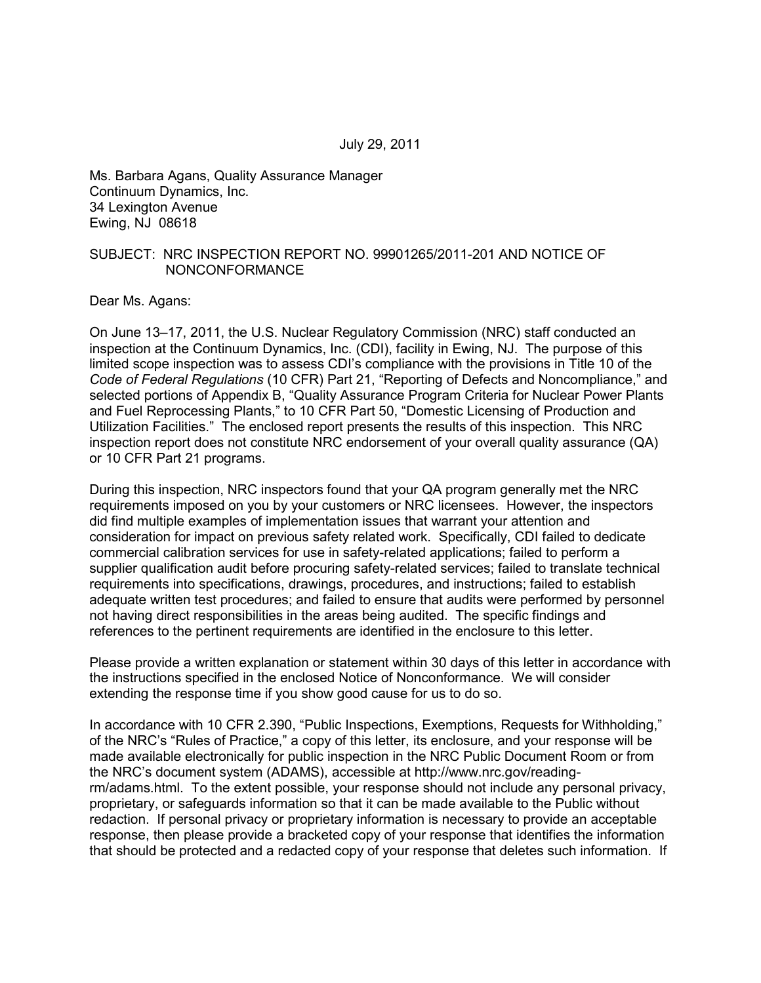Ms. Barbara Agans, Quality Assurance Manager Continuum Dynamics, Inc. 34 Lexington Avenue Ewing, NJ 08618

#### SUBJECT: NRC INSPECTION REPORT NO. 99901265/2011-201 AND NOTICE OF NONCONFORMANCE

Dear Ms. Agans:

On June 13–17, 2011, the U.S. Nuclear Regulatory Commission (NRC) staff conducted an inspection at the Continuum Dynamics, Inc. (CDI), facility in Ewing, NJ. The purpose of this limited scope inspection was to assess CDI's compliance with the provisions in Title 10 of the *Code of Federal Regulations* (10 CFR) Part 21, "Reporting of Defects and Noncompliance," and selected portions of Appendix B, "Quality Assurance Program Criteria for Nuclear Power Plants and Fuel Reprocessing Plants," to 10 CFR Part 50, "Domestic Licensing of Production and Utilization Facilities." The enclosed report presents the results of this inspection. This NRC inspection report does not constitute NRC endorsement of your overall quality assurance (QA) or 10 CFR Part 21 programs.

During this inspection, NRC inspectors found that your QA program generally met the NRC requirements imposed on you by your customers or NRC licensees. However, the inspectors did find multiple examples of implementation issues that warrant your attention and consideration for impact on previous safety related work. Specifically, CDI failed to dedicate commercial calibration services for use in safety-related applications; failed to perform a supplier qualification audit before procuring safety-related services; failed to translate technical requirements into specifications, drawings, procedures, and instructions; failed to establish adequate written test procedures; and failed to ensure that audits were performed by personnel not having direct responsibilities in the areas being audited. The specific findings and references to the pertinent requirements are identified in the enclosure to this letter.

Please provide a written explanation or statement within 30 days of this letter in accordance with the instructions specified in the enclosed Notice of Nonconformance. We will consider extending the response time if you show good cause for us to do so.

In accordance with 10 CFR 2.390, "Public Inspections, Exemptions, Requests for Withholding," of the NRC's "Rules of Practice," a copy of this letter, its enclosure, and your response will be made available electronically for public inspection in the NRC Public Document Room or from the NRC's document system (ADAMS), accessible at http://www.nrc.gov/readingrm/adams.html. To the extent possible, your response should not include any personal privacy, proprietary, or safeguards information so that it can be made available to the Public without redaction. If personal privacy or proprietary information is necessary to provide an acceptable response, then please provide a bracketed copy of your response that identifies the information that should be protected and a redacted copy of your response that deletes such information. If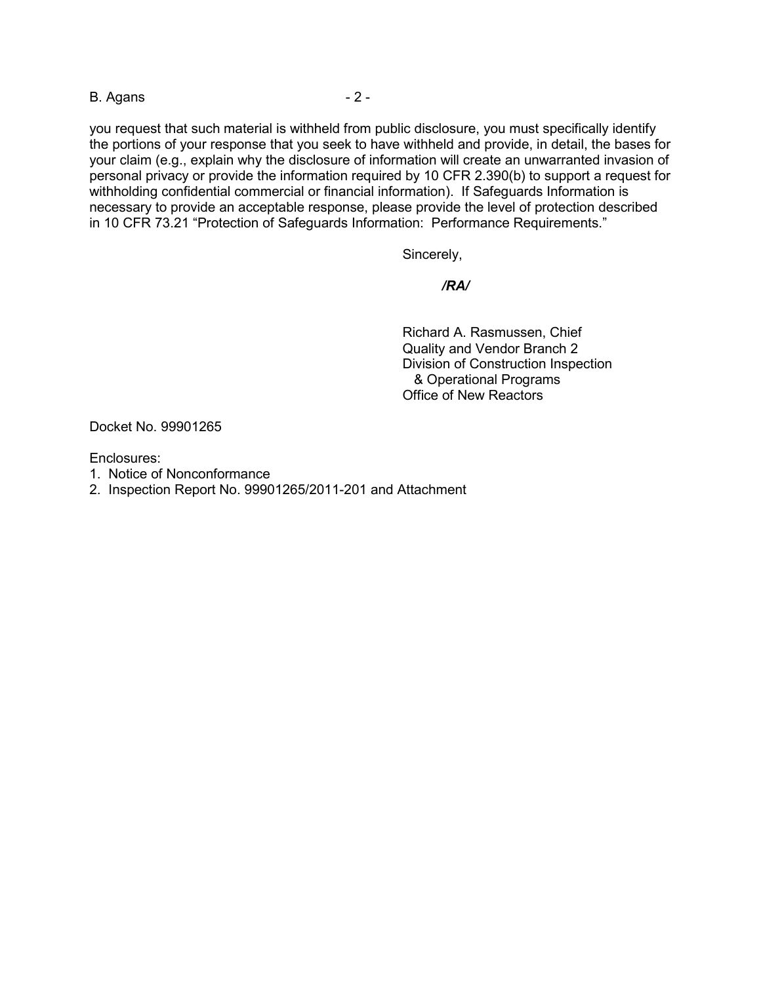B. Agans - 2 -

you request that such material is withheld from public disclosure, you must specifically identify the portions of your response that you seek to have withheld and provide, in detail, the bases for your claim (e.g., explain why the disclosure of information will create an unwarranted invasion of personal privacy or provide the information required by 10 CFR 2.390(b) to support a request for withholding confidential commercial or financial information). If Safeguards Information is necessary to provide an acceptable response, please provide the level of protection described in 10 CFR 73.21 "Protection of Safeguards Information: Performance Requirements."

Sincerely,

*/RA/* 

 Richard A. Rasmussen, Chief Quality and Vendor Branch 2 Division of Construction Inspection & Operational Programs Office of New Reactors

Docket No. 99901265

Enclosures:

- 1. Notice of Nonconformance
- 2. Inspection Report No. 99901265/2011-201 and Attachment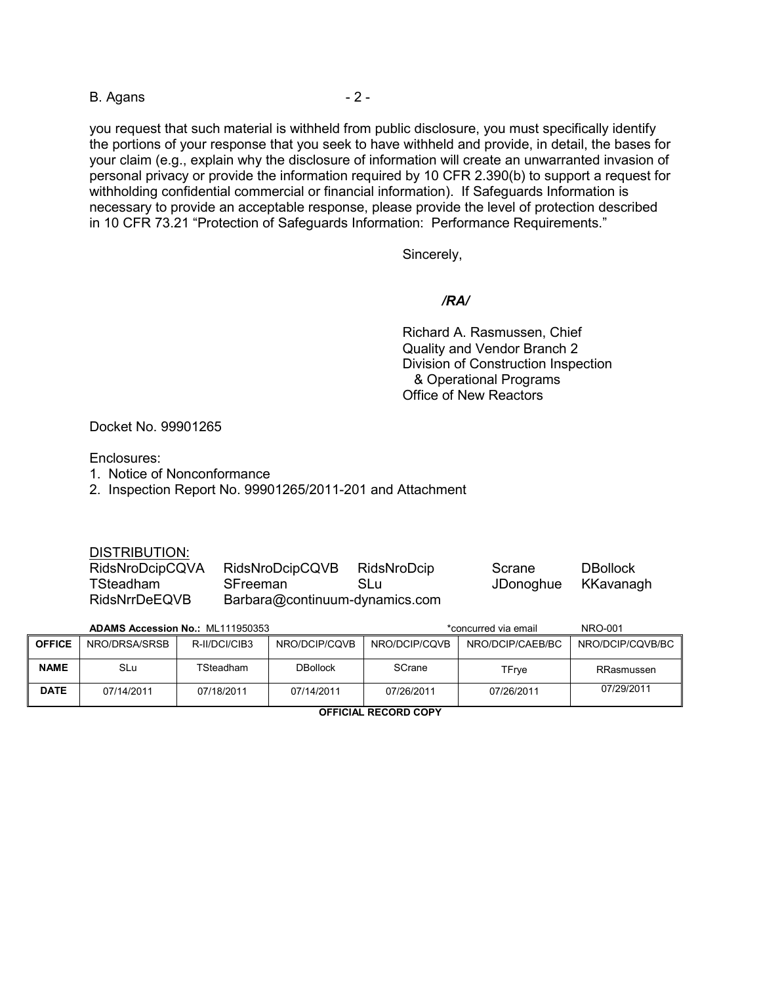B. Agans - 2 -

you request that such material is withheld from public disclosure, you must specifically identify the portions of your response that you seek to have withheld and provide, in detail, the bases for your claim (e.g., explain why the disclosure of information will create an unwarranted invasion of personal privacy or provide the information required by 10 CFR 2.390(b) to support a request for withholding confidential commercial or financial information). If Safeguards Information is necessary to provide an acceptable response, please provide the level of protection described in 10 CFR 73.21 "Protection of Safeguards Information: Performance Requirements."

Sincerely,

#### */RA/*

 Richard A. Rasmussen, Chief Quality and Vendor Branch 2 Division of Construction Inspection & Operational Programs Office of New Reactors

Docket No. 99901265

Enclosures:

- 1. Notice of Nonconformance
- 2. Inspection Report No. 99901265/2011-201 and Attachment

DISTRIBUTION:

| RidsNroDcipCQVA | RidsNroDcipCQVB                | RidsNroDcip | Scrane    | <b>DBollock</b> |
|-----------------|--------------------------------|-------------|-----------|-----------------|
| TSteadham       | SFreeman                       | <b>SLu</b>  | JDonoghue | KKavanagh       |
| RidsNrrDeEQVB   | Barbara@continuum-dynamics.com |             |           |                 |

| <b>ADAMS Accession No.: ML111950353</b> |               | *concurred via email |                 | NRO-001       |                  |                  |
|-----------------------------------------|---------------|----------------------|-----------------|---------------|------------------|------------------|
| <b>OFFICE</b>                           | NRO/DRSA/SRSB | R-II/DCI/CIB3        | NRO/DCIP/CQVB   | NRO/DCIP/CQVB | NRO/DCIP/CAEB/BC | NRO/DCIP/CQVB/BC |
| <b>NAME</b>                             | SLu           | TSteadham            | <b>DBollock</b> | SCrane        | TFrve            | RRasmussen       |
| <b>DATE</b>                             | 07/14/2011    | 07/18/2011           | 07/14/2011      | 07/26/2011    | 07/26/2011       | 07/29/2011       |

**OFFICIAL RECORD COPY**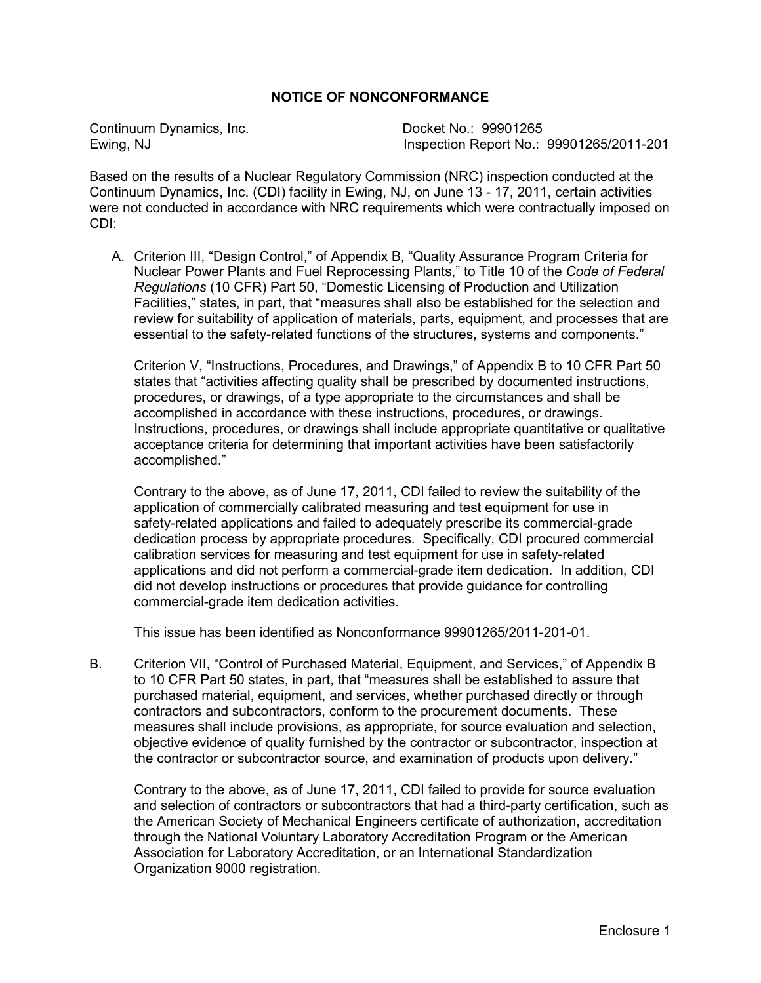#### **NOTICE OF NONCONFORMANCE**

Continuum Dynamics, Inc. Continuum Dynamics, Inc. Continuum Dynamics, Inc. Continuum Docket No.: 09901265

Inspection Report No.: 99901265/2011-201

Based on the results of a Nuclear Regulatory Commission (NRC) inspection conducted at the Continuum Dynamics, Inc. (CDI) facility in Ewing, NJ, on June 13 - 17, 2011, certain activities were not conducted in accordance with NRC requirements which were contractually imposed on CDI:

A. Criterion III, "Design Control," of Appendix B, "Quality Assurance Program Criteria for Nuclear Power Plants and Fuel Reprocessing Plants," to Title 10 of the *Code of Federal Regulations* (10 CFR) Part 50, "Domestic Licensing of Production and Utilization Facilities," states, in part, that "measures shall also be established for the selection and review for suitability of application of materials, parts, equipment, and processes that are essential to the safety-related functions of the structures, systems and components."

Criterion V, "Instructions, Procedures, and Drawings," of Appendix B to 10 CFR Part 50 states that "activities affecting quality shall be prescribed by documented instructions, procedures, or drawings, of a type appropriate to the circumstances and shall be accomplished in accordance with these instructions, procedures, or drawings. Instructions, procedures, or drawings shall include appropriate quantitative or qualitative acceptance criteria for determining that important activities have been satisfactorily accomplished."

 Contrary to the above, as of June 17, 2011, CDI failed to review the suitability of the application of commercially calibrated measuring and test equipment for use in safety-related applications and failed to adequately prescribe its commercial-grade dedication process by appropriate procedures. Specifically, CDI procured commercial calibration services for measuring and test equipment for use in safety-related applications and did not perform a commercial-grade item dedication. In addition, CDI did not develop instructions or procedures that provide guidance for controlling commercial-grade item dedication activities.

This issue has been identified as Nonconformance 99901265/2011-201-01.

B. Criterion VII, "Control of Purchased Material, Equipment, and Services," of Appendix B to 10 CFR Part 50 states, in part, that "measures shall be established to assure that purchased material, equipment, and services, whether purchased directly or through contractors and subcontractors, conform to the procurement documents. These measures shall include provisions, as appropriate, for source evaluation and selection, objective evidence of quality furnished by the contractor or subcontractor, inspection at the contractor or subcontractor source, and examination of products upon delivery."

Contrary to the above, as of June 17, 2011, CDI failed to provide for source evaluation and selection of contractors or subcontractors that had a third-party certification, such as the American Society of Mechanical Engineers certificate of authorization, accreditation through the National Voluntary Laboratory Accreditation Program or the American Association for Laboratory Accreditation, or an International Standardization Organization 9000 registration.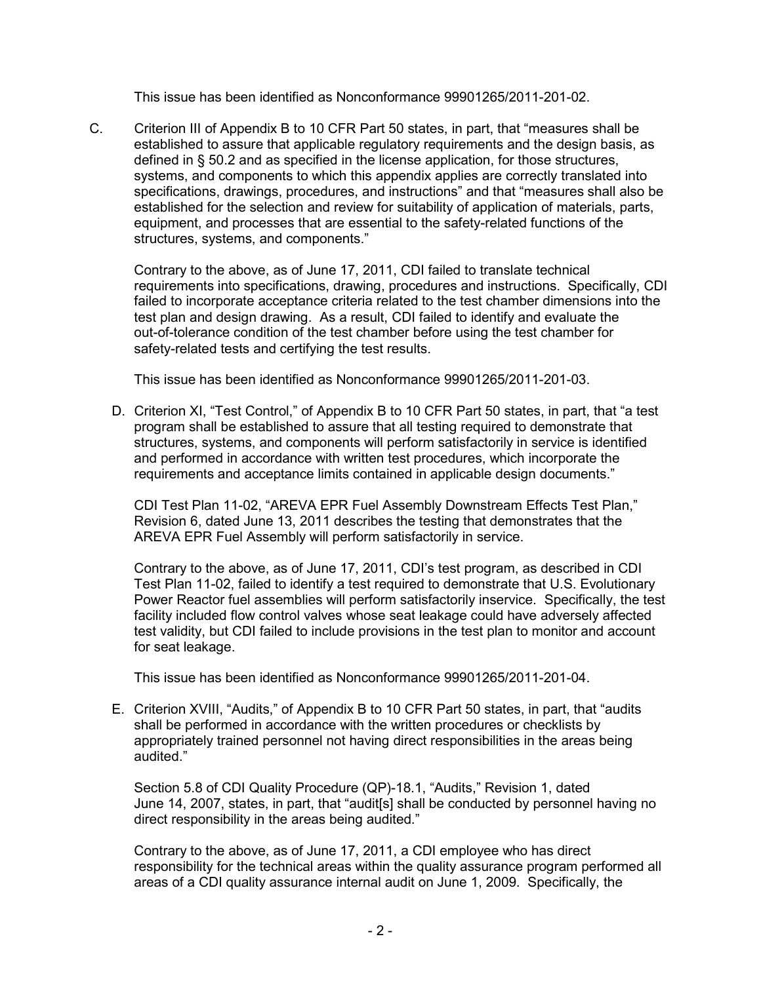This issue has been identified as Nonconformance 99901265/2011-201-02.

C. Criterion III of Appendix B to 10 CFR Part 50 states, in part, that "measures shall be established to assure that applicable regulatory requirements and the design basis, as defined in § 50.2 and as specified in the license application, for those structures, systems, and components to which this appendix applies are correctly translated into specifications, drawings, procedures, and instructions" and that "measures shall also be established for the selection and review for suitability of application of materials, parts, equipment, and processes that are essential to the safety-related functions of the structures, systems, and components."

Contrary to the above, as of June 17, 2011, CDI failed to translate technical requirements into specifications, drawing, procedures and instructions. Specifically, CDI failed to incorporate acceptance criteria related to the test chamber dimensions into the test plan and design drawing. As a result, CDI failed to identify and evaluate the out-of-tolerance condition of the test chamber before using the test chamber for safety-related tests and certifying the test results.

This issue has been identified as Nonconformance 99901265/2011-201-03.

D. Criterion XI, "Test Control," of Appendix B to 10 CFR Part 50 states, in part, that "a test program shall be established to assure that all testing required to demonstrate that structures, systems, and components will perform satisfactorily in service is identified and performed in accordance with written test procedures, which incorporate the requirements and acceptance limits contained in applicable design documents."

CDI Test Plan 11-02, "AREVA EPR Fuel Assembly Downstream Effects Test Plan," Revision 6, dated June 13, 2011 describes the testing that demonstrates that the AREVA EPR Fuel Assembly will perform satisfactorily in service.

Contrary to the above, as of June 17, 2011, CDI's test program, as described in CDI Test Plan 11-02, failed to identify a test required to demonstrate that U.S. Evolutionary Power Reactor fuel assemblies will perform satisfactorily inservice. Specifically, the test facility included flow control valves whose seat leakage could have adversely affected test validity, but CDI failed to include provisions in the test plan to monitor and account for seat leakage.

This issue has been identified as Nonconformance 99901265/2011-201-04.

E. Criterion XVIII, "Audits," of Appendix B to 10 CFR Part 50 states, in part, that "audits shall be performed in accordance with the written procedures or checklists by appropriately trained personnel not having direct responsibilities in the areas being audited."

Section 5.8 of CDI Quality Procedure (QP)-18.1, "Audits," Revision 1, dated June 14, 2007, states, in part, that "audit[s] shall be conducted by personnel having no direct responsibility in the areas being audited."

Contrary to the above, as of June 17, 2011, a CDI employee who has direct responsibility for the technical areas within the quality assurance program performed all areas of a CDI quality assurance internal audit on June 1, 2009. Specifically, the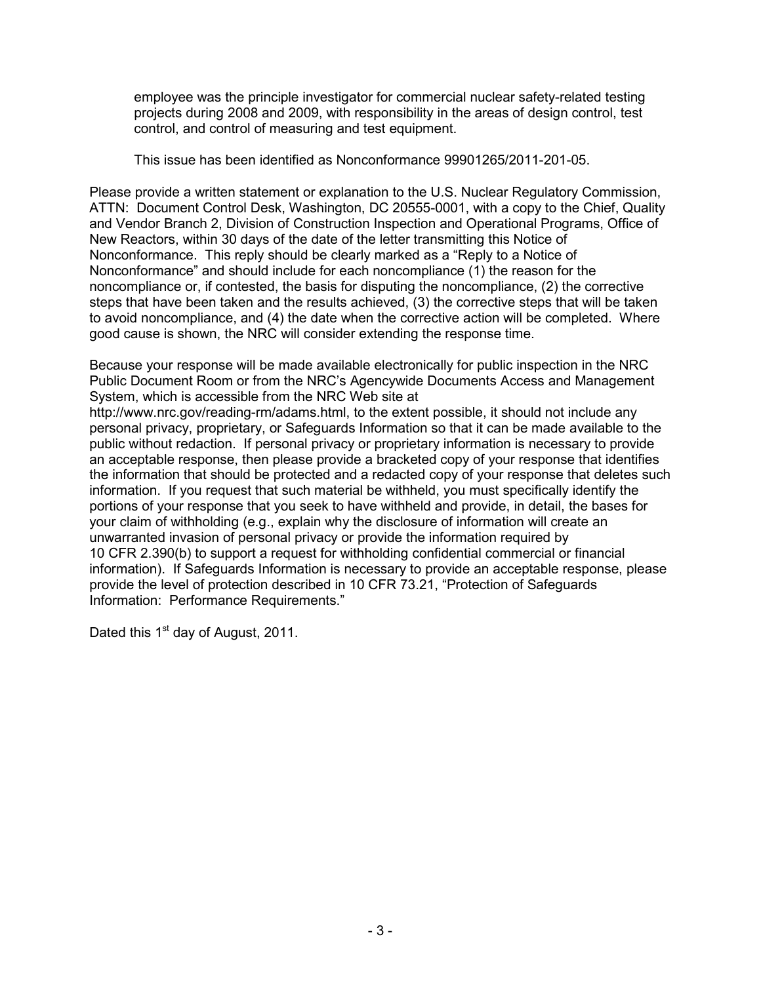employee was the principle investigator for commercial nuclear safety-related testing projects during 2008 and 2009, with responsibility in the areas of design control, test control, and control of measuring and test equipment.

This issue has been identified as Nonconformance 99901265/2011-201-05.

Please provide a written statement or explanation to the U.S. Nuclear Regulatory Commission, ATTN: Document Control Desk, Washington, DC 20555-0001, with a copy to the Chief, Quality and Vendor Branch 2, Division of Construction Inspection and Operational Programs, Office of New Reactors, within 30 days of the date of the letter transmitting this Notice of Nonconformance. This reply should be clearly marked as a "Reply to a Notice of Nonconformance" and should include for each noncompliance (1) the reason for the noncompliance or, if contested, the basis for disputing the noncompliance, (2) the corrective steps that have been taken and the results achieved, (3) the corrective steps that will be taken to avoid noncompliance, and (4) the date when the corrective action will be completed. Where good cause is shown, the NRC will consider extending the response time.

Because your response will be made available electronically for public inspection in the NRC Public Document Room or from the NRC's Agencywide Documents Access and Management System, which is accessible from the NRC Web site at

http://www.nrc.gov/reading-rm/adams.html, to the extent possible, it should not include any personal privacy, proprietary, or Safeguards Information so that it can be made available to the public without redaction. If personal privacy or proprietary information is necessary to provide an acceptable response, then please provide a bracketed copy of your response that identifies the information that should be protected and a redacted copy of your response that deletes such information. If you request that such material be withheld, you must specifically identify the portions of your response that you seek to have withheld and provide, in detail, the bases for your claim of withholding (e.g., explain why the disclosure of information will create an unwarranted invasion of personal privacy or provide the information required by 10 CFR 2.390(b) to support a request for withholding confidential commercial or financial information). If Safeguards Information is necessary to provide an acceptable response, please provide the level of protection described in 10 CFR 73.21, "Protection of Safeguards Information: Performance Requirements."

Dated this 1<sup>st</sup> day of August, 2011.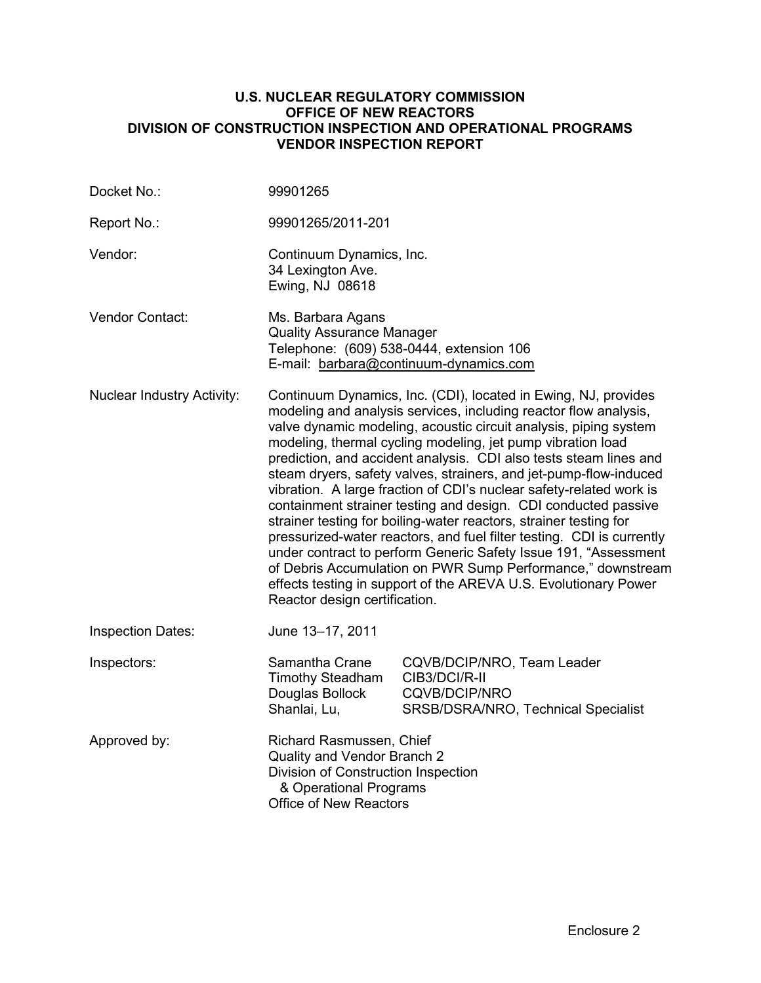#### **U.S. NUCLEAR REGULATORY COMMISSION OFFICE OF NEW REACTORS DIVISION OF CONSTRUCTION INSPECTION AND OPERATIONAL PROGRAMS VENDOR INSPECTION REPORT**

| Docket No.:                       | 99901265                                                                                                                                                                                                                                                                                                                                                                                                                                                                                                                                                                                                                                                                                                                                                                                                                                                                                                                                     |                                                                                                     |  |  |
|-----------------------------------|----------------------------------------------------------------------------------------------------------------------------------------------------------------------------------------------------------------------------------------------------------------------------------------------------------------------------------------------------------------------------------------------------------------------------------------------------------------------------------------------------------------------------------------------------------------------------------------------------------------------------------------------------------------------------------------------------------------------------------------------------------------------------------------------------------------------------------------------------------------------------------------------------------------------------------------------|-----------------------------------------------------------------------------------------------------|--|--|
| Report No.:                       | 99901265/2011-201                                                                                                                                                                                                                                                                                                                                                                                                                                                                                                                                                                                                                                                                                                                                                                                                                                                                                                                            |                                                                                                     |  |  |
| Vendor:                           | Continuum Dynamics, Inc.<br>34 Lexington Ave.<br>Ewing, NJ 08618                                                                                                                                                                                                                                                                                                                                                                                                                                                                                                                                                                                                                                                                                                                                                                                                                                                                             |                                                                                                     |  |  |
| <b>Vendor Contact:</b>            | Ms. Barbara Agans<br><b>Quality Assurance Manager</b><br>Telephone: (609) 538-0444, extension 106<br>E-mail: barbara@continuum-dynamics.com                                                                                                                                                                                                                                                                                                                                                                                                                                                                                                                                                                                                                                                                                                                                                                                                  |                                                                                                     |  |  |
| <b>Nuclear Industry Activity:</b> | Continuum Dynamics, Inc. (CDI), located in Ewing, NJ, provides<br>modeling and analysis services, including reactor flow analysis,<br>valve dynamic modeling, acoustic circuit analysis, piping system<br>modeling, thermal cycling modeling, jet pump vibration load<br>prediction, and accident analysis. CDI also tests steam lines and<br>steam dryers, safety valves, strainers, and jet-pump-flow-induced<br>vibration. A large fraction of CDI's nuclear safety-related work is<br>containment strainer testing and design. CDI conducted passive<br>strainer testing for boiling-water reactors, strainer testing for<br>pressurized-water reactors, and fuel filter testing. CDI is currently<br>under contract to perform Generic Safety Issue 191, "Assessment<br>of Debris Accumulation on PWR Sump Performance," downstream<br>effects testing in support of the AREVA U.S. Evolutionary Power<br>Reactor design certification. |                                                                                                     |  |  |
| <b>Inspection Dates:</b>          | June 13-17, 2011                                                                                                                                                                                                                                                                                                                                                                                                                                                                                                                                                                                                                                                                                                                                                                                                                                                                                                                             |                                                                                                     |  |  |
| Inspectors:                       | Samantha Crane<br><b>Timothy Steadham</b><br>Douglas Bollock<br>Shanlai, Lu,                                                                                                                                                                                                                                                                                                                                                                                                                                                                                                                                                                                                                                                                                                                                                                                                                                                                 | CQVB/DCIP/NRO, Team Leader<br>CIB3/DCI/R-II<br>CQVB/DCIP/NRO<br>SRSB/DSRA/NRO, Technical Specialist |  |  |
| Approved by:                      | Richard Rasmussen, Chief<br>Quality and Vendor Branch 2<br>Division of Construction Inspection<br>& Operational Programs<br>Office of New Reactors                                                                                                                                                                                                                                                                                                                                                                                                                                                                                                                                                                                                                                                                                                                                                                                           |                                                                                                     |  |  |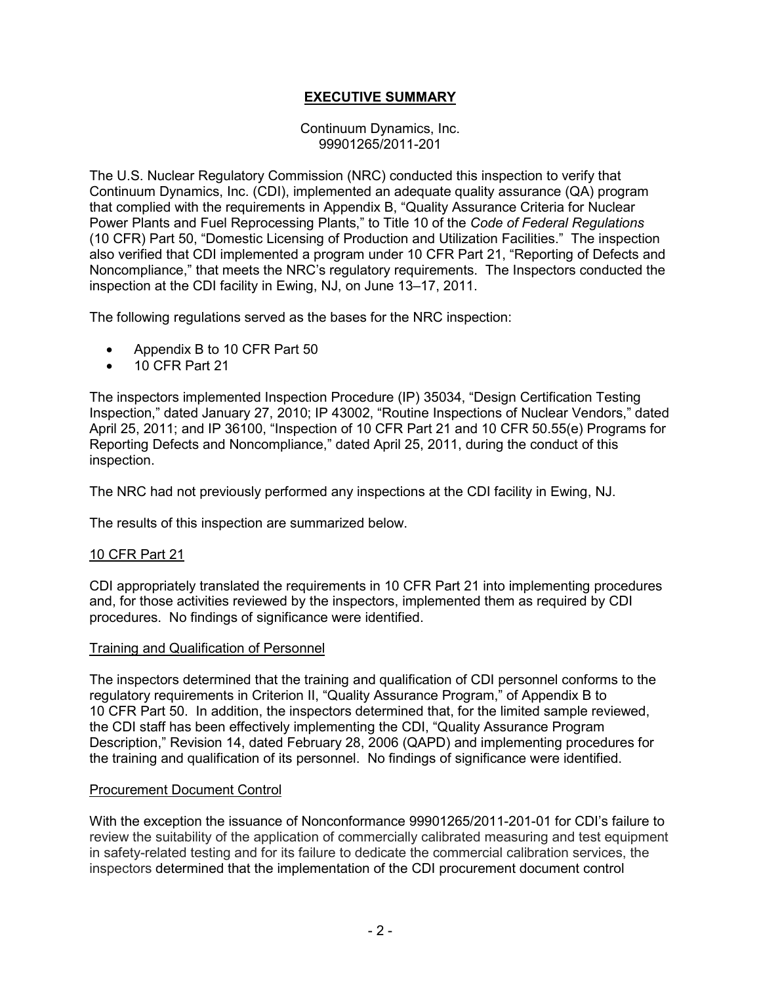# **EXECUTIVE SUMMARY**

Continuum Dynamics, Inc. 99901265/2011-201

The U.S. Nuclear Regulatory Commission (NRC) conducted this inspection to verify that Continuum Dynamics, Inc. (CDI), implemented an adequate quality assurance (QA) program that complied with the requirements in Appendix B, "Quality Assurance Criteria for Nuclear Power Plants and Fuel Reprocessing Plants," to Title 10 of the *Code of Federal Regulations*  (10 CFR) Part 50, "Domestic Licensing of Production and Utilization Facilities." The inspection also verified that CDI implemented a program under 10 CFR Part 21, "Reporting of Defects and Noncompliance," that meets the NRC's regulatory requirements. The Inspectors conducted the inspection at the CDI facility in Ewing, NJ, on June 13–17, 2011.

The following regulations served as the bases for the NRC inspection:

- Appendix B to 10 CFR Part 50
- 10 CFR Part 21

The inspectors implemented Inspection Procedure (IP) 35034, "Design Certification Testing Inspection," dated January 27, 2010; IP 43002, "Routine Inspections of Nuclear Vendors," dated April 25, 2011; and IP 36100, "Inspection of 10 CFR Part 21 and 10 CFR 50.55(e) Programs for Reporting Defects and Noncompliance," dated April 25, 2011, during the conduct of this inspection.

The NRC had not previously performed any inspections at the CDI facility in Ewing, NJ.

The results of this inspection are summarized below.

### 10 CFR Part 21

CDI appropriately translated the requirements in 10 CFR Part 21 into implementing procedures and, for those activities reviewed by the inspectors, implemented them as required by CDI procedures. No findings of significance were identified.

#### Training and Qualification of Personnel

The inspectors determined that the training and qualification of CDI personnel conforms to the regulatory requirements in Criterion II, "Quality Assurance Program," of Appendix B to 10 CFR Part 50. In addition, the inspectors determined that, for the limited sample reviewed, the CDI staff has been effectively implementing the CDI, "Quality Assurance Program Description," Revision 14, dated February 28, 2006 (QAPD) and implementing procedures for the training and qualification of its personnel. No findings of significance were identified.

#### Procurement Document Control

With the exception the issuance of Nonconformance 99901265/2011-201-01 for CDI's failure to review the suitability of the application of commercially calibrated measuring and test equipment in safety-related testing and for its failure to dedicate the commercial calibration services, the inspectors determined that the implementation of the CDI procurement document control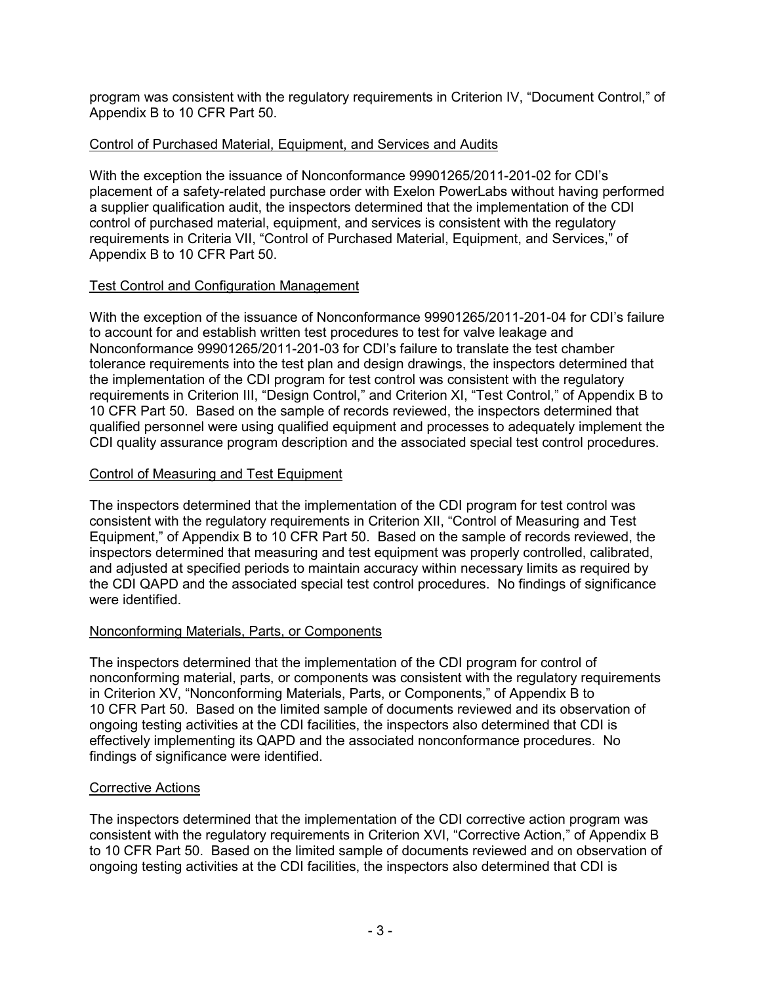program was consistent with the regulatory requirements in Criterion IV, "Document Control," of Appendix B to 10 CFR Part 50.

### Control of Purchased Material, Equipment, and Services and Audits

With the exception the issuance of Nonconformance 99901265/2011-201-02 for CDI's placement of a safety-related purchase order with Exelon PowerLabs without having performed a supplier qualification audit, the inspectors determined that the implementation of the CDI control of purchased material, equipment, and services is consistent with the regulatory requirements in Criteria VII, "Control of Purchased Material, Equipment, and Services," of Appendix B to 10 CFR Part 50.

# Test Control and Configuration Management

With the exception of the issuance of Nonconformance 99901265/2011-201-04 for CDI's failure to account for and establish written test procedures to test for valve leakage and Nonconformance 99901265/2011-201-03 for CDI's failure to translate the test chamber tolerance requirements into the test plan and design drawings, the inspectors determined that the implementation of the CDI program for test control was consistent with the regulatory requirements in Criterion III, "Design Control," and Criterion XI, "Test Control," of Appendix B to 10 CFR Part 50. Based on the sample of records reviewed, the inspectors determined that qualified personnel were using qualified equipment and processes to adequately implement the CDI quality assurance program description and the associated special test control procedures.

# Control of Measuring and Test Equipment

The inspectors determined that the implementation of the CDI program for test control was consistent with the regulatory requirements in Criterion XII, "Control of Measuring and Test Equipment," of Appendix B to 10 CFR Part 50. Based on the sample of records reviewed, the inspectors determined that measuring and test equipment was properly controlled, calibrated, and adjusted at specified periods to maintain accuracy within necessary limits as required by the CDI QAPD and the associated special test control procedures. No findings of significance were identified.

# Nonconforming Materials, Parts, or Components

The inspectors determined that the implementation of the CDI program for control of nonconforming material, parts, or components was consistent with the regulatory requirements in Criterion XV, "Nonconforming Materials, Parts, or Components," of Appendix B to 10 CFR Part 50. Based on the limited sample of documents reviewed and its observation of ongoing testing activities at the CDI facilities, the inspectors also determined that CDI is effectively implementing its QAPD and the associated nonconformance procedures. No findings of significance were identified.

# Corrective Actions

The inspectors determined that the implementation of the CDI corrective action program was consistent with the regulatory requirements in Criterion XVI, "Corrective Action," of Appendix B to 10 CFR Part 50. Based on the limited sample of documents reviewed and on observation of ongoing testing activities at the CDI facilities, the inspectors also determined that CDI is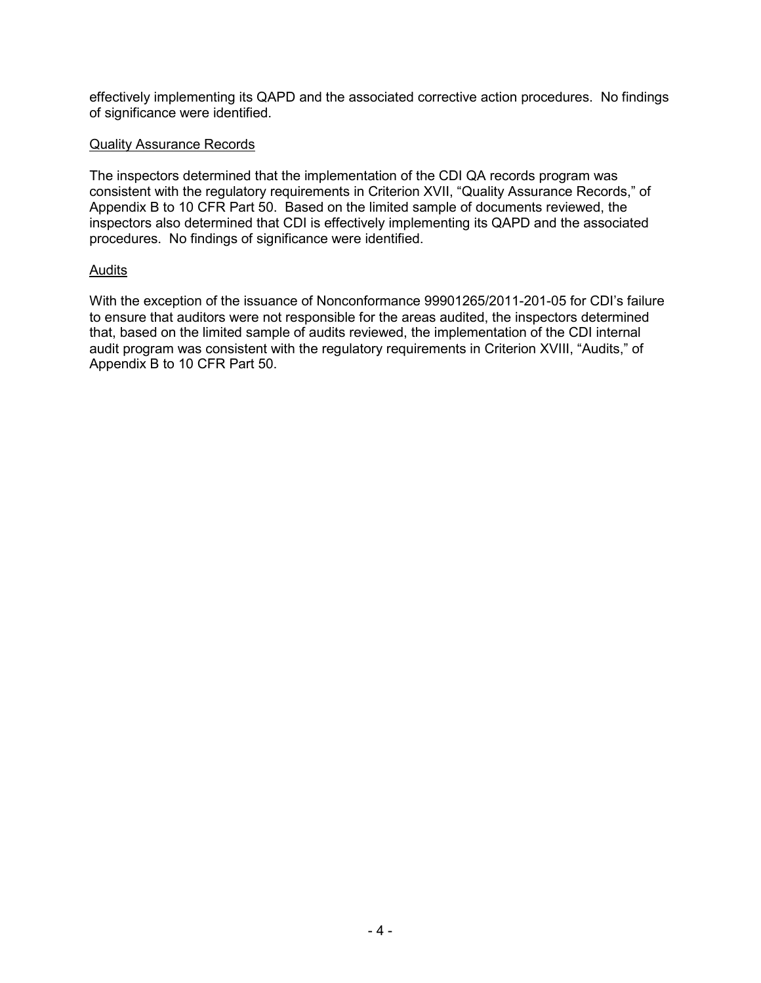effectively implementing its QAPD and the associated corrective action procedures. No findings of significance were identified.

#### Quality Assurance Records

The inspectors determined that the implementation of the CDI QA records program was consistent with the regulatory requirements in Criterion XVII, "Quality Assurance Records," of Appendix B to 10 CFR Part 50. Based on the limited sample of documents reviewed, the inspectors also determined that CDI is effectively implementing its QAPD and the associated procedures. No findings of significance were identified.

### Audits

With the exception of the issuance of Nonconformance 99901265/2011-201-05 for CDI's failure to ensure that auditors were not responsible for the areas audited, the inspectors determined that, based on the limited sample of audits reviewed, the implementation of the CDI internal audit program was consistent with the regulatory requirements in Criterion XVIII, "Audits," of Appendix B to 10 CFR Part 50.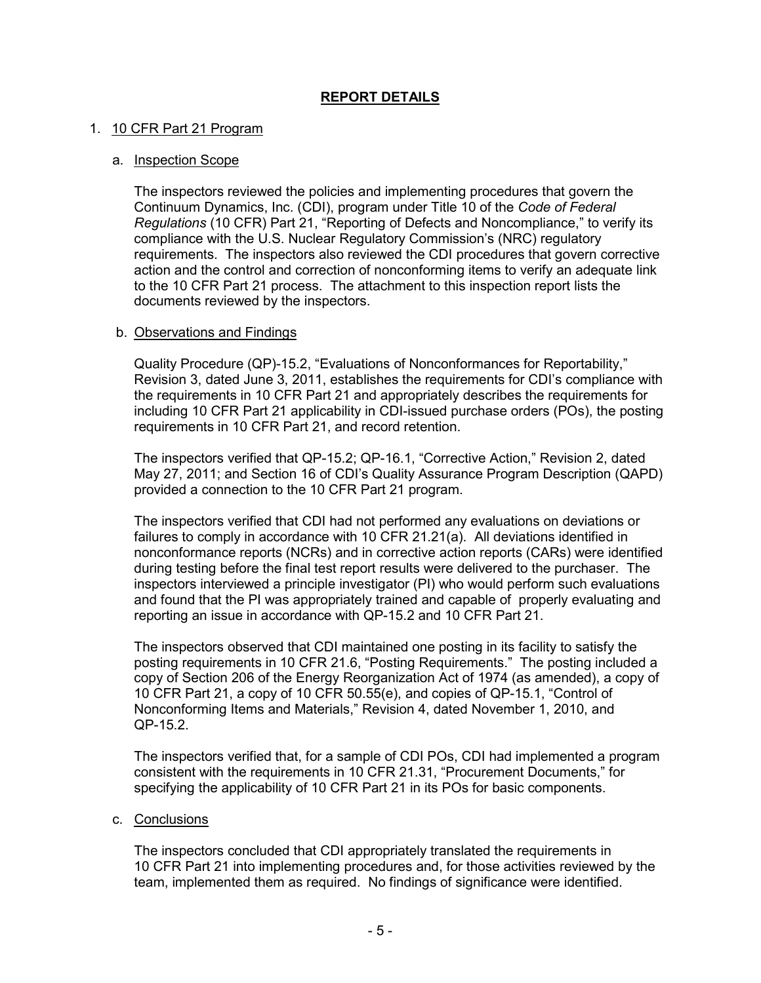### 1. 10 CFR Part 21 Program

#### a. Inspection Scope

The inspectors reviewed the policies and implementing procedures that govern the Continuum Dynamics, Inc. (CDI), program under Title 10 of the *Code of Federal Regulations* (10 CFR) Part 21, "Reporting of Defects and Noncompliance," to verify its compliance with the U.S. Nuclear Regulatory Commission's (NRC) regulatory requirements. The inspectors also reviewed the CDI procedures that govern corrective action and the control and correction of nonconforming items to verify an adequate link to the 10 CFR Part 21 process. The attachment to this inspection report lists the documents reviewed by the inspectors.

#### b. Observations and Findings

Quality Procedure (QP)-15.2, "Evaluations of Nonconformances for Reportability," Revision 3, dated June 3, 2011, establishes the requirements for CDI's compliance with the requirements in 10 CFR Part 21 and appropriately describes the requirements for including 10 CFR Part 21 applicability in CDI-issued purchase orders (POs), the posting requirements in 10 CFR Part 21, and record retention.

The inspectors verified that QP-15.2; QP-16.1, "Corrective Action," Revision 2, dated May 27, 2011; and Section 16 of CDI's Quality Assurance Program Description (QAPD) provided a connection to the 10 CFR Part 21 program.

The inspectors verified that CDI had not performed any evaluations on deviations or failures to comply in accordance with 10 CFR 21.21(a). All deviations identified in nonconformance reports (NCRs) and in corrective action reports (CARs) were identified during testing before the final test report results were delivered to the purchaser. The inspectors interviewed a principle investigator (PI) who would perform such evaluations and found that the PI was appropriately trained and capable of properly evaluating and reporting an issue in accordance with QP-15.2 and 10 CFR Part 21.

The inspectors observed that CDI maintained one posting in its facility to satisfy the posting requirements in 10 CFR 21.6, "Posting Requirements." The posting included a copy of Section 206 of the Energy Reorganization Act of 1974 (as amended), a copy of 10 CFR Part 21, a copy of 10 CFR 50.55(e), and copies of QP-15.1, "Control of Nonconforming Items and Materials," Revision 4, dated November 1, 2010, and QP-15.2.

The inspectors verified that, for a sample of CDI POs, CDI had implemented a program consistent with the requirements in 10 CFR 21.31, "Procurement Documents," for specifying the applicability of 10 CFR Part 21 in its POs for basic components.

### c. Conclusions

The inspectors concluded that CDI appropriately translated the requirements in 10 CFR Part 21 into implementing procedures and, for those activities reviewed by the team, implemented them as required. No findings of significance were identified.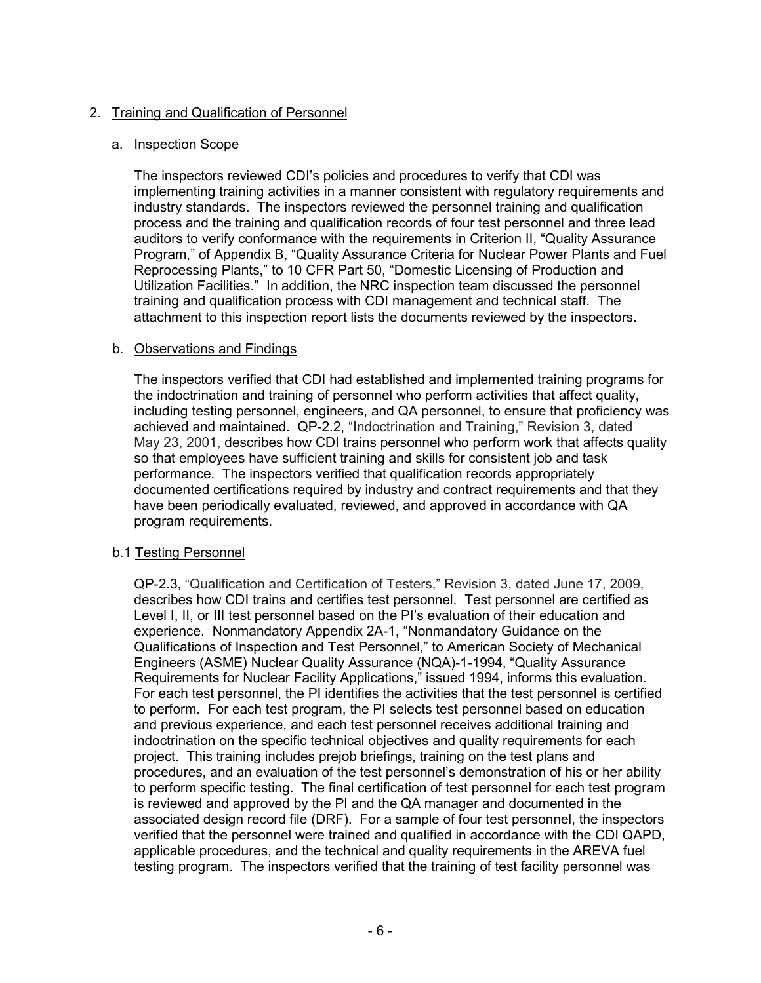## 2. Training and Qualification of Personnel

### a. Inspection Scope

The inspectors reviewed CDI's policies and procedures to verify that CDI was implementing training activities in a manner consistent with regulatory requirements and industry standards. The inspectors reviewed the personnel training and qualification process and the training and qualification records of four test personnel and three lead auditors to verify conformance with the requirements in Criterion II, "Quality Assurance Program," of Appendix B, "Quality Assurance Criteria for Nuclear Power Plants and Fuel Reprocessing Plants," to 10 CFR Part 50, "Domestic Licensing of Production and Utilization Facilities." In addition, the NRC inspection team discussed the personnel training and qualification process with CDI management and technical staff. The attachment to this inspection report lists the documents reviewed by the inspectors.

### b. Observations and Findings

The inspectors verified that CDI had established and implemented training programs for the indoctrination and training of personnel who perform activities that affect quality, including testing personnel, engineers, and QA personnel, to ensure that proficiency was achieved and maintained. QP-2.2, "Indoctrination and Training," Revision 3, dated May 23, 2001, describes how CDI trains personnel who perform work that affects quality so that employees have sufficient training and skills for consistent job and task performance. The inspectors verified that qualification records appropriately documented certifications required by industry and contract requirements and that they have been periodically evaluated, reviewed, and approved in accordance with QA program requirements.

### b.1 Testing Personnel

QP-2.3, "Qualification and Certification of Testers," Revision 3, dated June 17, 2009, describes how CDI trains and certifies test personnel. Test personnel are certified as Level I, II, or III test personnel based on the PI's evaluation of their education and experience. Nonmandatory Appendix 2A-1, "Nonmandatory Guidance on the Qualifications of Inspection and Test Personnel," to American Society of Mechanical Engineers (ASME) Nuclear Quality Assurance (NQA)-1-1994, "Quality Assurance Requirements for Nuclear Facility Applications," issued 1994, informs this evaluation. For each test personnel, the PI identifies the activities that the test personnel is certified to perform. For each test program, the PI selects test personnel based on education and previous experience, and each test personnel receives additional training and indoctrination on the specific technical objectives and quality requirements for each project. This training includes prejob briefings, training on the test plans and procedures, and an evaluation of the test personnel's demonstration of his or her ability to perform specific testing. The final certification of test personnel for each test program is reviewed and approved by the PI and the QA manager and documented in the associated design record file (DRF). For a sample of four test personnel, the inspectors verified that the personnel were trained and qualified in accordance with the CDI QAPD, applicable procedures, and the technical and quality requirements in the AREVA fuel testing program. The inspectors verified that the training of test facility personnel was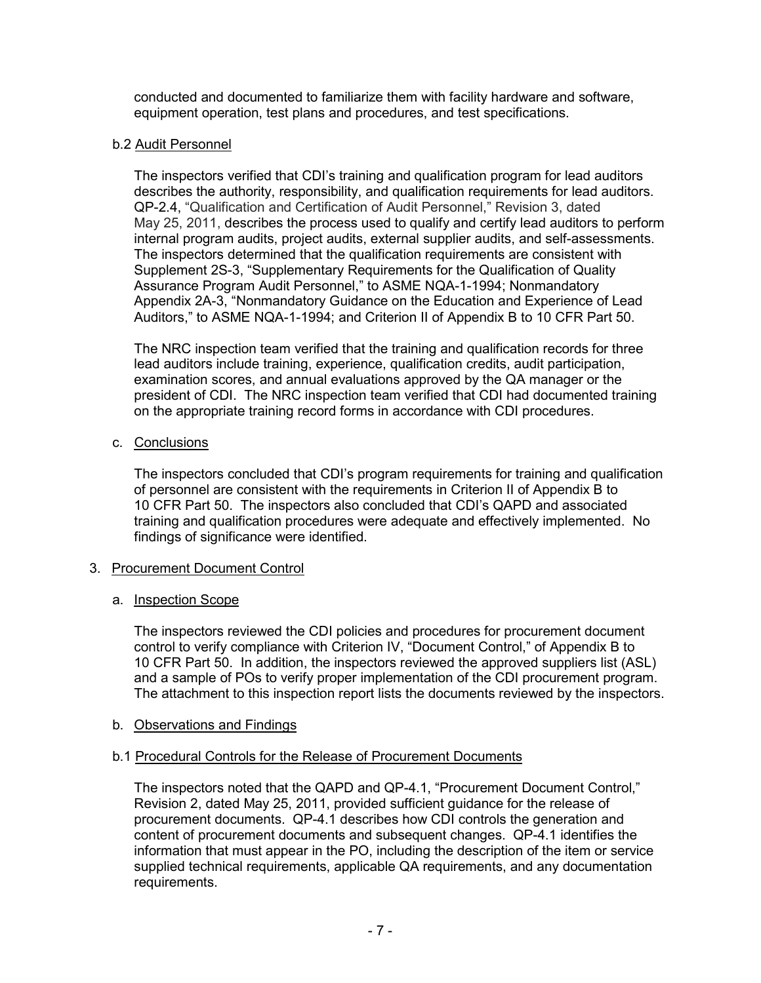conducted and documented to familiarize them with facility hardware and software, equipment operation, test plans and procedures, and test specifications.

### b.2 Audit Personnel

The inspectors verified that CDI's training and qualification program for lead auditors describes the authority, responsibility, and qualification requirements for lead auditors. QP-2.4, "Qualification and Certification of Audit Personnel," Revision 3, dated May 25, 2011, describes the process used to qualify and certify lead auditors to perform internal program audits, project audits, external supplier audits, and self-assessments. The inspectors determined that the qualification requirements are consistent with Supplement 2S-3, "Supplementary Requirements for the Qualification of Quality Assurance Program Audit Personnel," to ASME NQA-1-1994; Nonmandatory Appendix 2A-3, "Nonmandatory Guidance on the Education and Experience of Lead Auditors," to ASME NQA-1-1994; and Criterion II of Appendix B to 10 CFR Part 50.

The NRC inspection team verified that the training and qualification records for three lead auditors include training, experience, qualification credits, audit participation, examination scores, and annual evaluations approved by the QA manager or the president of CDI. The NRC inspection team verified that CDI had documented training on the appropriate training record forms in accordance with CDI procedures.

c. Conclusions

The inspectors concluded that CDI's program requirements for training and qualification of personnel are consistent with the requirements in Criterion II of Appendix B to 10 CFR Part 50. The inspectors also concluded that CDI's QAPD and associated training and qualification procedures were adequate and effectively implemented. No findings of significance were identified.

- 3. Procurement Document Control
	- a. Inspection Scope

The inspectors reviewed the CDI policies and procedures for procurement document control to verify compliance with Criterion IV, "Document Control," of Appendix B to 10 CFR Part 50. In addition, the inspectors reviewed the approved suppliers list (ASL) and a sample of POs to verify proper implementation of the CDI procurement program. The attachment to this inspection report lists the documents reviewed by the inspectors.

# b. Observations and Findings

# b.1 Procedural Controls for the Release of Procurement Documents

The inspectors noted that the QAPD and QP-4.1, "Procurement Document Control," Revision 2, dated May 25, 2011, provided sufficient guidance for the release of procurement documents. QP-4.1 describes how CDI controls the generation and content of procurement documents and subsequent changes. QP-4.1 identifies the information that must appear in the PO, including the description of the item or service supplied technical requirements, applicable QA requirements, and any documentation requirements.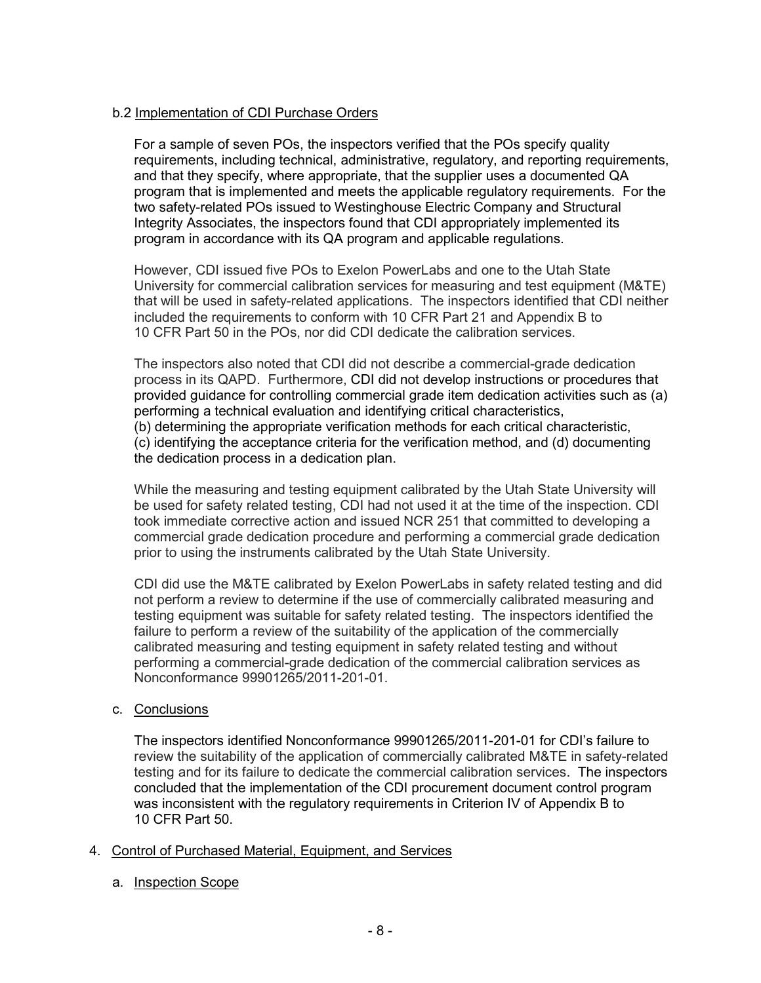### b.2 Implementation of CDI Purchase Orders

For a sample of seven POs, the inspectors verified that the POs specify quality requirements, including technical, administrative, regulatory, and reporting requirements, and that they specify, where appropriate, that the supplier uses a documented QA program that is implemented and meets the applicable regulatory requirements. For the two safety-related POs issued to Westinghouse Electric Company and Structural Integrity Associates, the inspectors found that CDI appropriately implemented its program in accordance with its QA program and applicable regulations.

However, CDI issued five POs to Exelon PowerLabs and one to the Utah State University for commercial calibration services for measuring and test equipment (M&TE) that will be used in safety-related applications. The inspectors identified that CDI neither included the requirements to conform with 10 CFR Part 21 and Appendix B to 10 CFR Part 50 in the POs, nor did CDI dedicate the calibration services.

The inspectors also noted that CDI did not describe a commercial-grade dedication process in its QAPD. Furthermore, CDI did not develop instructions or procedures that provided guidance for controlling commercial grade item dedication activities such as (a) performing a technical evaluation and identifying critical characteristics, (b) determining the appropriate verification methods for each critical characteristic, (c) identifying the acceptance criteria for the verification method, and (d) documenting the dedication process in a dedication plan.

While the measuring and testing equipment calibrated by the Utah State University will be used for safety related testing, CDI had not used it at the time of the inspection. CDI took immediate corrective action and issued NCR 251 that committed to developing a commercial grade dedication procedure and performing a commercial grade dedication prior to using the instruments calibrated by the Utah State University.

CDI did use the M&TE calibrated by Exelon PowerLabs in safety related testing and did not perform a review to determine if the use of commercially calibrated measuring and testing equipment was suitable for safety related testing. The inspectors identified the failure to perform a review of the suitability of the application of the commercially calibrated measuring and testing equipment in safety related testing and without performing a commercial-grade dedication of the commercial calibration services as Nonconformance 99901265/2011-201-01.

### c. Conclusions

The inspectors identified Nonconformance 99901265/2011-201-01 for CDI's failure to review the suitability of the application of commercially calibrated M&TE in safety-related testing and for its failure to dedicate the commercial calibration services. The inspectors concluded that the implementation of the CDI procurement document control program was inconsistent with the regulatory requirements in Criterion IV of Appendix B to 10 CFR Part 50.

### 4. Control of Purchased Material, Equipment, and Services

### a. Inspection Scope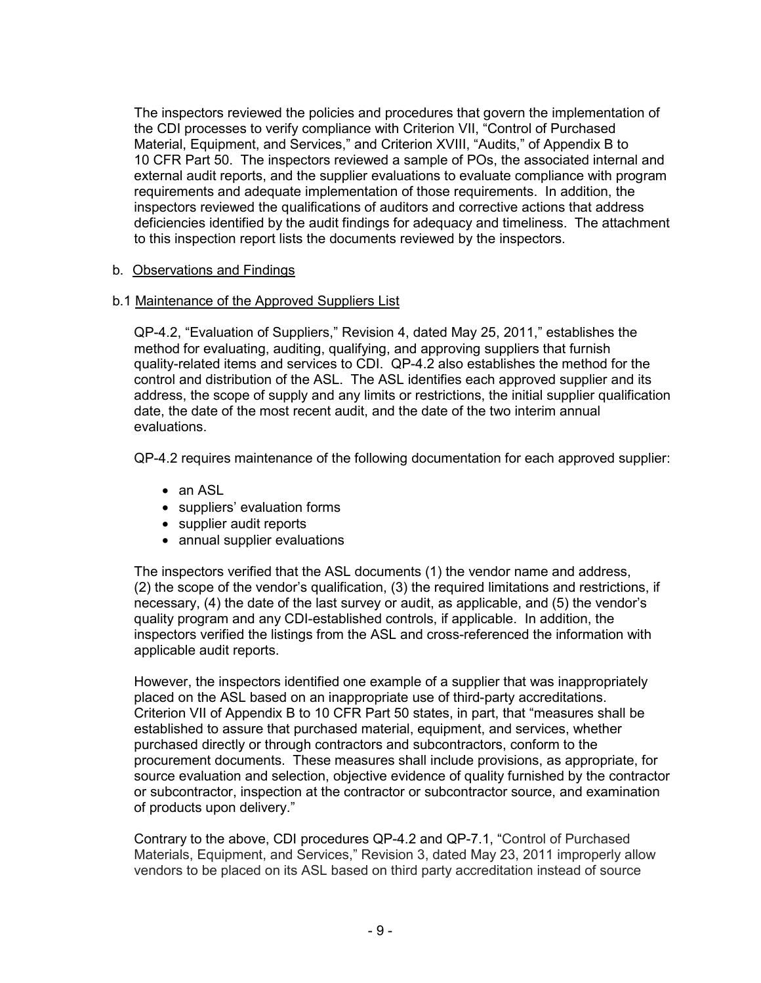The inspectors reviewed the policies and procedures that govern the implementation of the CDI processes to verify compliance with Criterion VII, "Control of Purchased Material, Equipment, and Services," and Criterion XVIII, "Audits," of Appendix B to 10 CFR Part 50. The inspectors reviewed a sample of POs, the associated internal and external audit reports, and the supplier evaluations to evaluate compliance with program requirements and adequate implementation of those requirements. In addition, the inspectors reviewed the qualifications of auditors and corrective actions that address deficiencies identified by the audit findings for adequacy and timeliness. The attachment to this inspection report lists the documents reviewed by the inspectors.

### b. Observations and Findings

## b.1 Maintenance of the Approved Suppliers List

QP-4.2, "Evaluation of Suppliers," Revision 4, dated May 25, 2011," establishes the method for evaluating, auditing, qualifying, and approving suppliers that furnish quality-related items and services to CDI. QP-4.2 also establishes the method for the control and distribution of the ASL. The ASL identifies each approved supplier and its address, the scope of supply and any limits or restrictions, the initial supplier qualification date, the date of the most recent audit, and the date of the two interim annual evaluations.

QP-4.2 requires maintenance of the following documentation for each approved supplier:

- an ASL
- suppliers' evaluation forms
- supplier audit reports
- annual supplier evaluations

The inspectors verified that the ASL documents (1) the vendor name and address, (2) the scope of the vendor's qualification, (3) the required limitations and restrictions, if necessary, (4) the date of the last survey or audit, as applicable, and (5) the vendor's quality program and any CDI-established controls, if applicable. In addition, the inspectors verified the listings from the ASL and cross-referenced the information with applicable audit reports.

However, the inspectors identified one example of a supplier that was inappropriately placed on the ASL based on an inappropriate use of third-party accreditations. Criterion VII of Appendix B to 10 CFR Part 50 states, in part, that "measures shall be established to assure that purchased material, equipment, and services, whether purchased directly or through contractors and subcontractors, conform to the procurement documents. These measures shall include provisions, as appropriate, for source evaluation and selection, objective evidence of quality furnished by the contractor or subcontractor, inspection at the contractor or subcontractor source, and examination of products upon delivery."

Contrary to the above, CDI procedures QP-4.2 and QP-7.1, "Control of Purchased Materials, Equipment, and Services," Revision 3, dated May 23, 2011 improperly allow vendors to be placed on its ASL based on third party accreditation instead of source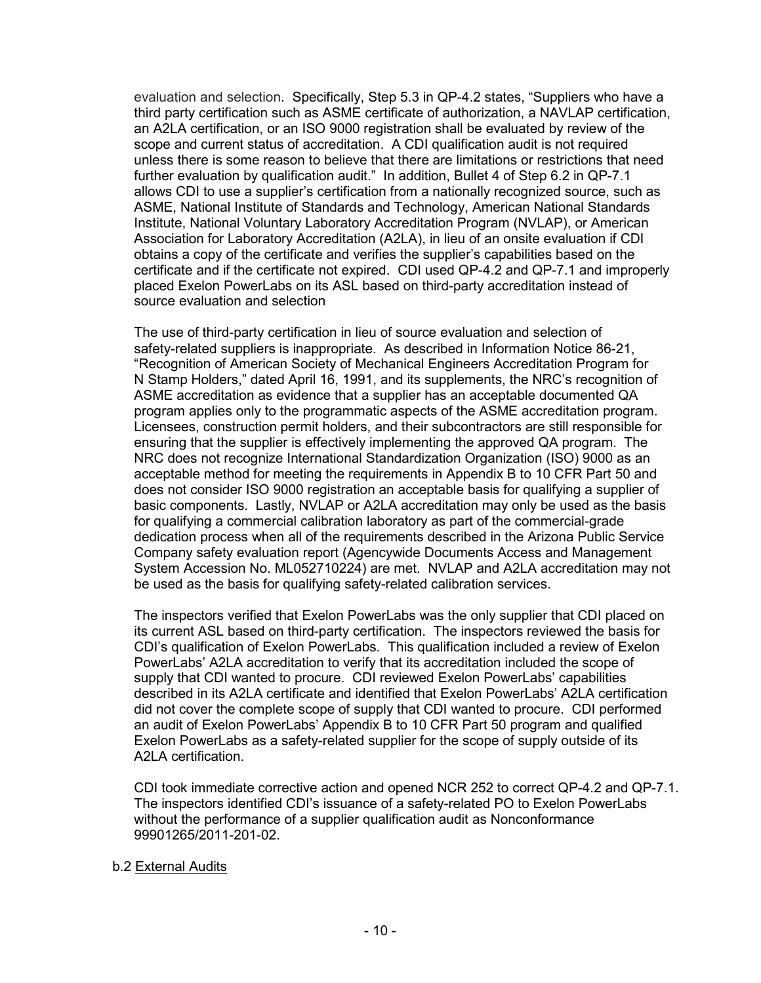evaluation and selection. Specifically, Step 5.3 in QP-4.2 states, "Suppliers who have a third party certification such as ASME certificate of authorization, a NAVLAP certification, an A2LA certification, or an ISO 9000 registration shall be evaluated by review of the scope and current status of accreditation. A CDI qualification audit is not required unless there is some reason to believe that there are limitations or restrictions that need further evaluation by qualification audit." In addition, Bullet 4 of Step 6.2 in QP-7.1 allows CDI to use a supplier's certification from a nationally recognized source, such as ASME, National Institute of Standards and Technology, American National Standards Institute, National Voluntary Laboratory Accreditation Program (NVLAP), or American Association for Laboratory Accreditation (A2LA), in lieu of an onsite evaluation if CDI obtains a copy of the certificate and verifies the supplier's capabilities based on the certificate and if the certificate not expired. CDI used QP-4.2 and QP-7.1 and improperly placed Exelon PowerLabs on its ASL based on third-party accreditation instead of source evaluation and selection

The use of third-party certification in lieu of source evaluation and selection of safety-related suppliers is inappropriate. As described in Information Notice 86-21, "Recognition of American Society of Mechanical Engineers Accreditation Program for N Stamp Holders," dated April 16, 1991, and its supplements, the NRC's recognition of ASME accreditation as evidence that a supplier has an acceptable documented QA program applies only to the programmatic aspects of the ASME accreditation program. Licensees, construction permit holders, and their subcontractors are still responsible for ensuring that the supplier is effectively implementing the approved QA program. The NRC does not recognize International Standardization Organization (ISO) 9000 as an acceptable method for meeting the requirements in Appendix B to 10 CFR Part 50 and does not consider ISO 9000 registration an acceptable basis for qualifying a supplier of basic components. Lastly, NVLAP or A2LA accreditation may only be used as the basis for qualifying a commercial calibration laboratory as part of the commercial-grade dedication process when all of the requirements described in the Arizona Public Service Company safety evaluation report (Agencywide Documents Access and Management System Accession No. ML052710224) are met. NVLAP and A2LA accreditation may not be used as the basis for qualifying safety-related calibration services.

The inspectors verified that Exelon PowerLabs was the only supplier that CDI placed on its current ASL based on third-party certification. The inspectors reviewed the basis for CDI's qualification of Exelon PowerLabs. This qualification included a review of Exelon PowerLabs' A2LA accreditation to verify that its accreditation included the scope of supply that CDI wanted to procure. CDI reviewed Exelon PowerLabs' capabilities described in its A2LA certificate and identified that Exelon PowerLabs' A2LA certification did not cover the complete scope of supply that CDI wanted to procure. CDI performed an audit of Exelon PowerLabs' Appendix B to 10 CFR Part 50 program and qualified Exelon PowerLabs as a safety-related supplier for the scope of supply outside of its A2LA certification.

CDI took immediate corrective action and opened NCR 252 to correct QP-4.2 and QP-7.1. The inspectors identified CDI's issuance of a safety-related PO to Exelon PowerLabs without the performance of a supplier qualification audit as Nonconformance 99901265/2011-201-02.

### b.2 External Audits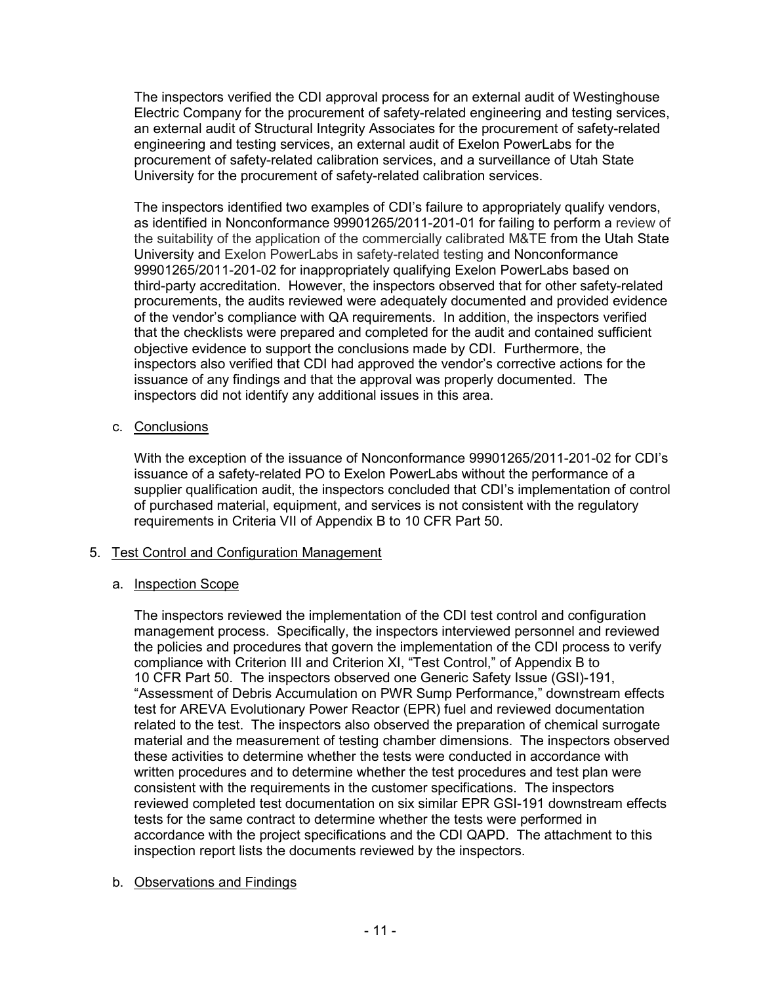The inspectors verified the CDI approval process for an external audit of Westinghouse Electric Company for the procurement of safety-related engineering and testing services, an external audit of Structural Integrity Associates for the procurement of safety-related engineering and testing services, an external audit of Exelon PowerLabs for the procurement of safety-related calibration services, and a surveillance of Utah State University for the procurement of safety-related calibration services.

The inspectors identified two examples of CDI's failure to appropriately qualify vendors, as identified in Nonconformance 99901265/2011-201-01 for failing to perform a review of the suitability of the application of the commercially calibrated M&TE from the Utah State University and Exelon PowerLabs in safety-related testing and Nonconformance 99901265/2011-201-02 for inappropriately qualifying Exelon PowerLabs based on third-party accreditation. However, the inspectors observed that for other safety-related procurements, the audits reviewed were adequately documented and provided evidence of the vendor's compliance with QA requirements. In addition, the inspectors verified that the checklists were prepared and completed for the audit and contained sufficient objective evidence to support the conclusions made by CDI. Furthermore, the inspectors also verified that CDI had approved the vendor's corrective actions for the issuance of any findings and that the approval was properly documented. The inspectors did not identify any additional issues in this area.

c. Conclusions

With the exception of the issuance of Nonconformance 99901265/2011-201-02 for CDI's issuance of a safety-related PO to Exelon PowerLabs without the performance of a supplier qualification audit, the inspectors concluded that CDI's implementation of control of purchased material, equipment, and services is not consistent with the regulatory requirements in Criteria VII of Appendix B to 10 CFR Part 50.

# 5. Test Control and Configuration Management

# a. Inspection Scope

The inspectors reviewed the implementation of the CDI test control and configuration management process. Specifically, the inspectors interviewed personnel and reviewed the policies and procedures that govern the implementation of the CDI process to verify compliance with Criterion III and Criterion XI, "Test Control," of Appendix B to 10 CFR Part 50. The inspectors observed one Generic Safety Issue (GSI)-191, "Assessment of Debris Accumulation on PWR Sump Performance," downstream effects test for AREVA Evolutionary Power Reactor (EPR) fuel and reviewed documentation related to the test. The inspectors also observed the preparation of chemical surrogate material and the measurement of testing chamber dimensions. The inspectors observed these activities to determine whether the tests were conducted in accordance with written procedures and to determine whether the test procedures and test plan were consistent with the requirements in the customer specifications. The inspectors reviewed completed test documentation on six similar EPR GSI-191 downstream effects tests for the same contract to determine whether the tests were performed in accordance with the project specifications and the CDI QAPD. The attachment to this inspection report lists the documents reviewed by the inspectors.

### b. Observations and Findings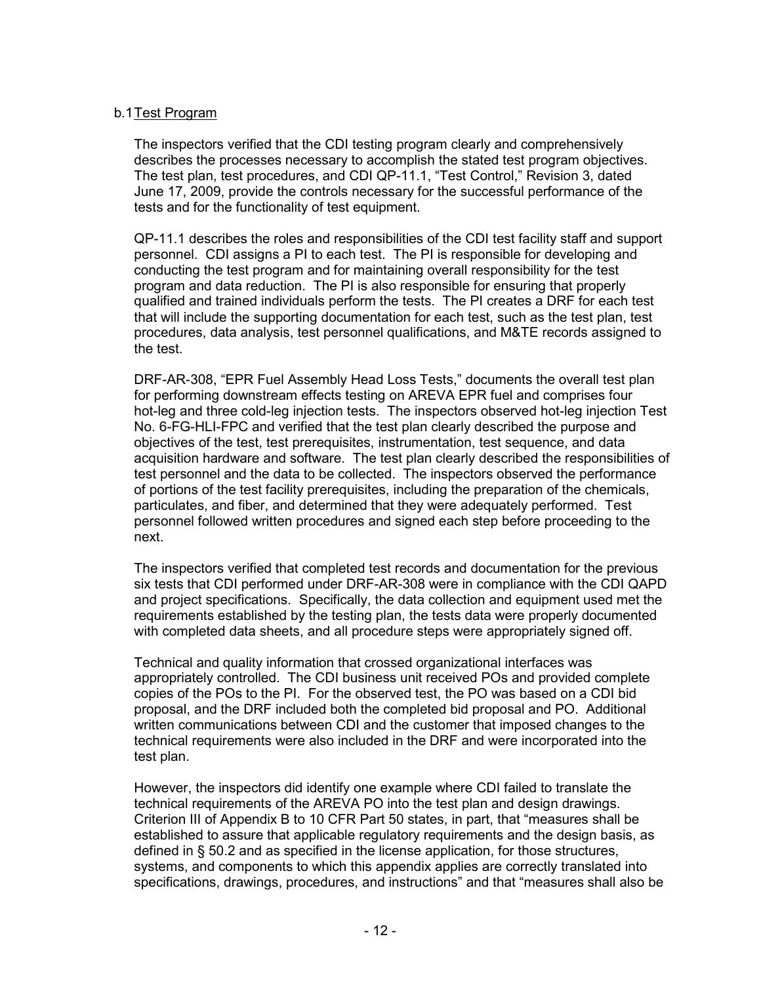### b.1 Test Program

The inspectors verified that the CDI testing program clearly and comprehensively describes the processes necessary to accomplish the stated test program objectives. The test plan, test procedures, and CDI QP-11.1, "Test Control," Revision 3, dated June 17, 2009, provide the controls necessary for the successful performance of the tests and for the functionality of test equipment.

QP-11.1 describes the roles and responsibilities of the CDI test facility staff and support personnel. CDI assigns a PI to each test. The PI is responsible for developing and conducting the test program and for maintaining overall responsibility for the test program and data reduction. The PI is also responsible for ensuring that properly qualified and trained individuals perform the tests. The PI creates a DRF for each test that will include the supporting documentation for each test, such as the test plan, test procedures, data analysis, test personnel qualifications, and M&TE records assigned to the test.

DRF-AR-308, "EPR Fuel Assembly Head Loss Tests," documents the overall test plan for performing downstream effects testing on AREVA EPR fuel and comprises four hot-leg and three cold-leg injection tests. The inspectors observed hot-leg injection Test No. 6-FG-HLI-FPC and verified that the test plan clearly described the purpose and objectives of the test, test prerequisites, instrumentation, test sequence, and data acquisition hardware and software. The test plan clearly described the responsibilities of test personnel and the data to be collected. The inspectors observed the performance of portions of the test facility prerequisites, including the preparation of the chemicals, particulates, and fiber, and determined that they were adequately performed. Test personnel followed written procedures and signed each step before proceeding to the next.

The inspectors verified that completed test records and documentation for the previous six tests that CDI performed under DRF-AR-308 were in compliance with the CDI QAPD and project specifications. Specifically, the data collection and equipment used met the requirements established by the testing plan, the tests data were properly documented with completed data sheets, and all procedure steps were appropriately signed off.

Technical and quality information that crossed organizational interfaces was appropriately controlled. The CDI business unit received POs and provided complete copies of the POs to the PI. For the observed test, the PO was based on a CDI bid proposal, and the DRF included both the completed bid proposal and PO. Additional written communications between CDI and the customer that imposed changes to the technical requirements were also included in the DRF and were incorporated into the test plan.

However, the inspectors did identify one example where CDI failed to translate the technical requirements of the AREVA PO into the test plan and design drawings. Criterion III of Appendix B to 10 CFR Part 50 states, in part, that "measures shall be established to assure that applicable regulatory requirements and the design basis, as defined in § 50.2 and as specified in the license application, for those structures, systems, and components to which this appendix applies are correctly translated into specifications, drawings, procedures, and instructions" and that "measures shall also be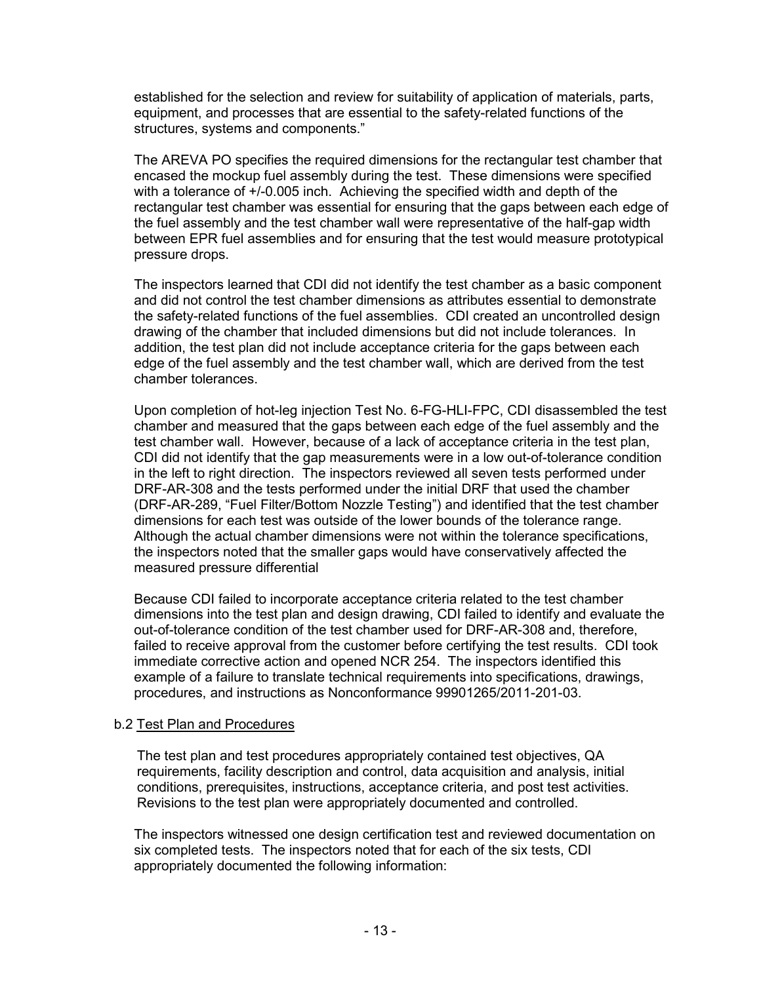established for the selection and review for suitability of application of materials, parts, equipment, and processes that are essential to the safety-related functions of the structures, systems and components."

The AREVA PO specifies the required dimensions for the rectangular test chamber that encased the mockup fuel assembly during the test. These dimensions were specified with a tolerance of  $+/-0.005$  inch. Achieving the specified width and depth of the rectangular test chamber was essential for ensuring that the gaps between each edge of the fuel assembly and the test chamber wall were representative of the half-gap width between EPR fuel assemblies and for ensuring that the test would measure prototypical pressure drops.

The inspectors learned that CDI did not identify the test chamber as a basic component and did not control the test chamber dimensions as attributes essential to demonstrate the safety-related functions of the fuel assemblies. CDI created an uncontrolled design drawing of the chamber that included dimensions but did not include tolerances. In addition, the test plan did not include acceptance criteria for the gaps between each edge of the fuel assembly and the test chamber wall, which are derived from the test chamber tolerances.

Upon completion of hot-leg injection Test No. 6-FG-HLI-FPC, CDI disassembled the test chamber and measured that the gaps between each edge of the fuel assembly and the test chamber wall. However, because of a lack of acceptance criteria in the test plan, CDI did not identify that the gap measurements were in a low out-of-tolerance condition in the left to right direction. The inspectors reviewed all seven tests performed under DRF-AR-308 and the tests performed under the initial DRF that used the chamber (DRF-AR-289, "Fuel Filter/Bottom Nozzle Testing") and identified that the test chamber dimensions for each test was outside of the lower bounds of the tolerance range. Although the actual chamber dimensions were not within the tolerance specifications, the inspectors noted that the smaller gaps would have conservatively affected the measured pressure differential

Because CDI failed to incorporate acceptance criteria related to the test chamber dimensions into the test plan and design drawing, CDI failed to identify and evaluate the out-of-tolerance condition of the test chamber used for DRF-AR-308 and, therefore, failed to receive approval from the customer before certifying the test results. CDI took immediate corrective action and opened NCR 254. The inspectors identified this example of a failure to translate technical requirements into specifications, drawings, procedures, and instructions as Nonconformance 99901265/2011-201-03.

### b.2 Test Plan and Procedures

The test plan and test procedures appropriately contained test objectives, QA requirements, facility description and control, data acquisition and analysis, initial conditions, prerequisites, instructions, acceptance criteria, and post test activities. Revisions to the test plan were appropriately documented and controlled.

The inspectors witnessed one design certification test and reviewed documentation on six completed tests. The inspectors noted that for each of the six tests, CDI appropriately documented the following information: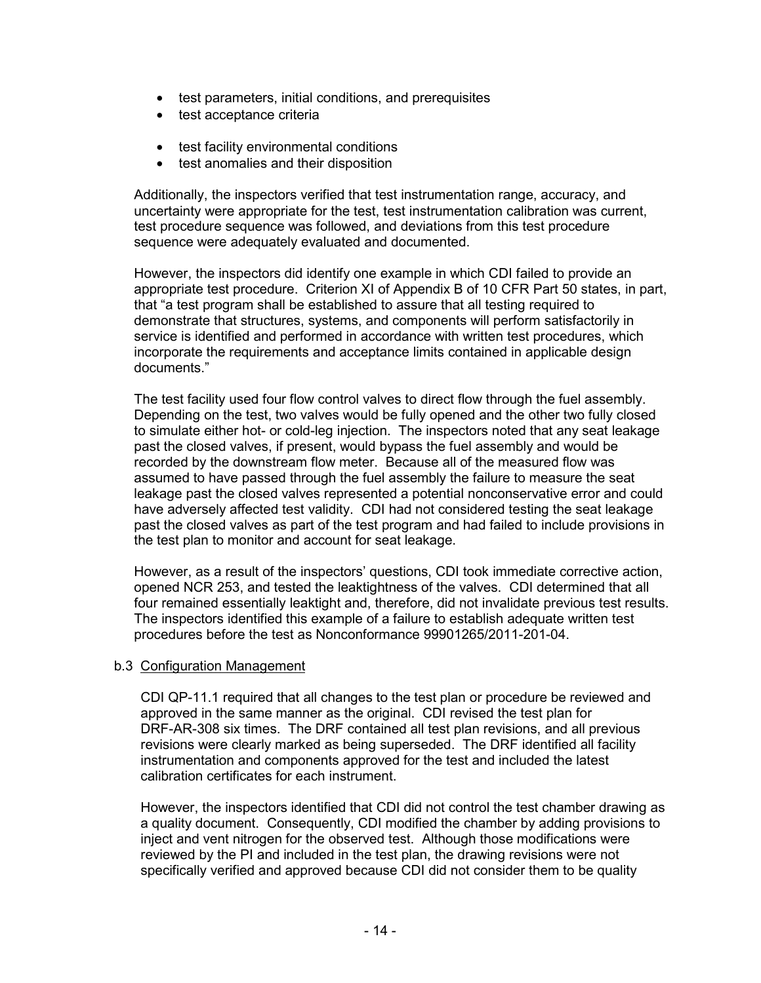- test parameters, initial conditions, and prerequisites
- test acceptance criteria
- test facility environmental conditions
- test anomalies and their disposition

Additionally, the inspectors verified that test instrumentation range, accuracy, and uncertainty were appropriate for the test, test instrumentation calibration was current, test procedure sequence was followed, and deviations from this test procedure sequence were adequately evaluated and documented.

However, the inspectors did identify one example in which CDI failed to provide an appropriate test procedure. Criterion XI of Appendix B of 10 CFR Part 50 states, in part, that "a test program shall be established to assure that all testing required to demonstrate that structures, systems, and components will perform satisfactorily in service is identified and performed in accordance with written test procedures, which incorporate the requirements and acceptance limits contained in applicable design documents."

The test facility used four flow control valves to direct flow through the fuel assembly. Depending on the test, two valves would be fully opened and the other two fully closed to simulate either hot- or cold-leg injection. The inspectors noted that any seat leakage past the closed valves, if present, would bypass the fuel assembly and would be recorded by the downstream flow meter. Because all of the measured flow was assumed to have passed through the fuel assembly the failure to measure the seat leakage past the closed valves represented a potential nonconservative error and could have adversely affected test validity. CDI had not considered testing the seat leakage past the closed valves as part of the test program and had failed to include provisions in the test plan to monitor and account for seat leakage.

However, as a result of the inspectors' questions, CDI took immediate corrective action, opened NCR 253, and tested the leaktightness of the valves. CDI determined that all four remained essentially leaktight and, therefore, did not invalidate previous test results. The inspectors identified this example of a failure to establish adequate written test procedures before the test as Nonconformance 99901265/2011-201-04.

### b.3 Configuration Management

CDI QP-11.1 required that all changes to the test plan or procedure be reviewed and approved in the same manner as the original. CDI revised the test plan for DRF-AR-308 six times. The DRF contained all test plan revisions, and all previous revisions were clearly marked as being superseded. The DRF identified all facility instrumentation and components approved for the test and included the latest calibration certificates for each instrument.

However, the inspectors identified that CDI did not control the test chamber drawing as a quality document. Consequently, CDI modified the chamber by adding provisions to inject and vent nitrogen for the observed test. Although those modifications were reviewed by the PI and included in the test plan, the drawing revisions were not specifically verified and approved because CDI did not consider them to be quality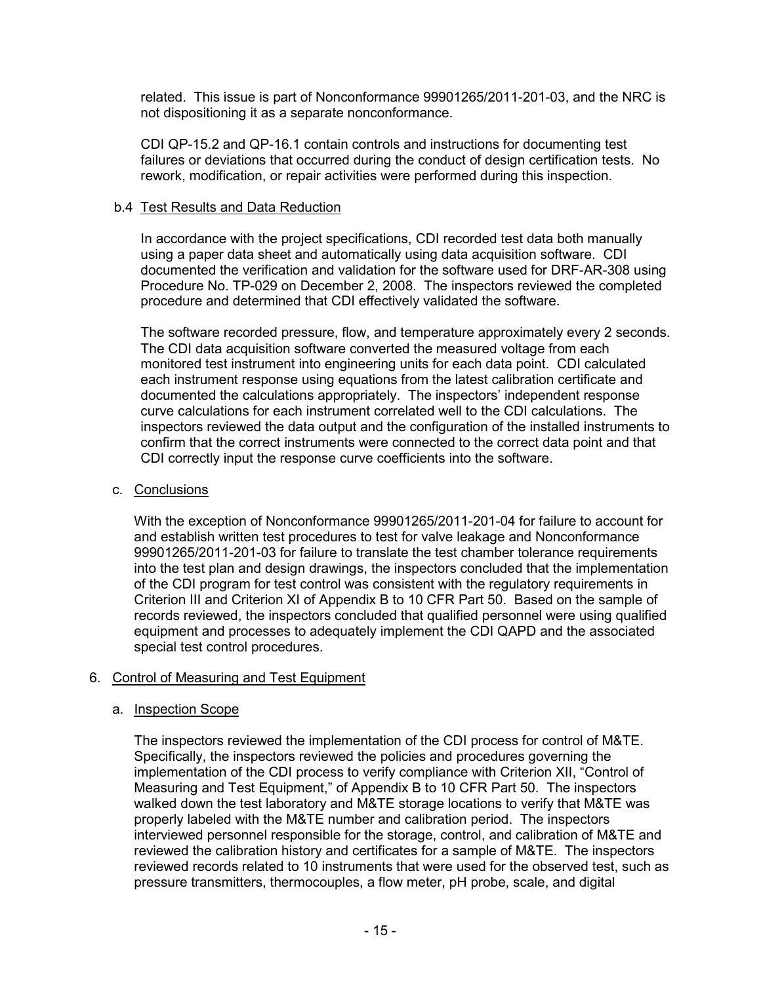related. This issue is part of Nonconformance 99901265/2011-201-03, and the NRC is not dispositioning it as a separate nonconformance.

CDI QP-15.2 and QP-16.1 contain controls and instructions for documenting test failures or deviations that occurred during the conduct of design certification tests. No rework, modification, or repair activities were performed during this inspection.

#### b.4 Test Results and Data Reduction

In accordance with the project specifications, CDI recorded test data both manually using a paper data sheet and automatically using data acquisition software. CDI documented the verification and validation for the software used for DRF-AR-308 using Procedure No. TP-029 on December 2, 2008. The inspectors reviewed the completed procedure and determined that CDI effectively validated the software.

The software recorded pressure, flow, and temperature approximately every 2 seconds. The CDI data acquisition software converted the measured voltage from each monitored test instrument into engineering units for each data point. CDI calculated each instrument response using equations from the latest calibration certificate and documented the calculations appropriately. The inspectors' independent response curve calculations for each instrument correlated well to the CDI calculations. The inspectors reviewed the data output and the configuration of the installed instruments to confirm that the correct instruments were connected to the correct data point and that CDI correctly input the response curve coefficients into the software.

### c. Conclusions

With the exception of Nonconformance 99901265/2011-201-04 for failure to account for and establish written test procedures to test for valve leakage and Nonconformance 99901265/2011-201-03 for failure to translate the test chamber tolerance requirements into the test plan and design drawings, the inspectors concluded that the implementation of the CDI program for test control was consistent with the regulatory requirements in Criterion III and Criterion XI of Appendix B to 10 CFR Part 50. Based on the sample of records reviewed, the inspectors concluded that qualified personnel were using qualified equipment and processes to adequately implement the CDI QAPD and the associated special test control procedures.

### 6. Control of Measuring and Test Equipment

### a. Inspection Scope

The inspectors reviewed the implementation of the CDI process for control of M&TE. Specifically, the inspectors reviewed the policies and procedures governing the implementation of the CDI process to verify compliance with Criterion XII, "Control of Measuring and Test Equipment," of Appendix B to 10 CFR Part 50. The inspectors walked down the test laboratory and M&TE storage locations to verify that M&TE was properly labeled with the M&TE number and calibration period. The inspectors interviewed personnel responsible for the storage, control, and calibration of M&TE and reviewed the calibration history and certificates for a sample of M&TE. The inspectors reviewed records related to 10 instruments that were used for the observed test, such as pressure transmitters, thermocouples, a flow meter, pH probe, scale, and digital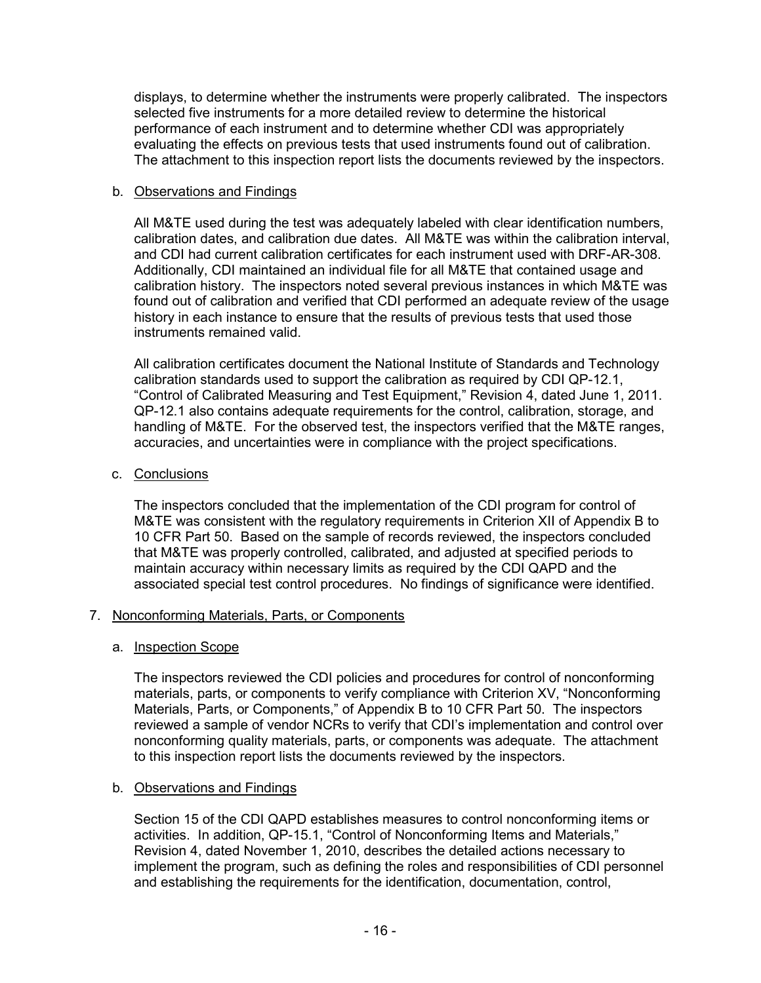displays, to determine whether the instruments were properly calibrated. The inspectors selected five instruments for a more detailed review to determine the historical performance of each instrument and to determine whether CDI was appropriately evaluating the effects on previous tests that used instruments found out of calibration. The attachment to this inspection report lists the documents reviewed by the inspectors.

### b. Observations and Findings

All M&TE used during the test was adequately labeled with clear identification numbers, calibration dates, and calibration due dates. All M&TE was within the calibration interval, and CDI had current calibration certificates for each instrument used with DRF-AR-308. Additionally, CDI maintained an individual file for all M&TE that contained usage and calibration history. The inspectors noted several previous instances in which M&TE was found out of calibration and verified that CDI performed an adequate review of the usage history in each instance to ensure that the results of previous tests that used those instruments remained valid.

All calibration certificates document the National Institute of Standards and Technology calibration standards used to support the calibration as required by CDI QP-12.1, "Control of Calibrated Measuring and Test Equipment," Revision 4, dated June 1, 2011. QP-12.1 also contains adequate requirements for the control, calibration, storage, and handling of M&TE. For the observed test, the inspectors verified that the M&TE ranges, accuracies, and uncertainties were in compliance with the project specifications.

## c. Conclusions

The inspectors concluded that the implementation of the CDI program for control of M&TE was consistent with the regulatory requirements in Criterion XII of Appendix B to 10 CFR Part 50. Based on the sample of records reviewed, the inspectors concluded that M&TE was properly controlled, calibrated, and adjusted at specified periods to maintain accuracy within necessary limits as required by the CDI QAPD and the associated special test control procedures. No findings of significance were identified.

### 7. Nonconforming Materials, Parts, or Components

### a. Inspection Scope

The inspectors reviewed the CDI policies and procedures for control of nonconforming materials, parts, or components to verify compliance with Criterion XV, "Nonconforming Materials, Parts, or Components," of Appendix B to 10 CFR Part 50. The inspectors reviewed a sample of vendor NCRs to verify that CDI's implementation and control over nonconforming quality materials, parts, or components was adequate. The attachment to this inspection report lists the documents reviewed by the inspectors.

### b. Observations and Findings

Section 15 of the CDI QAPD establishes measures to control nonconforming items or activities. In addition, QP-15.1, "Control of Nonconforming Items and Materials," Revision 4, dated November 1, 2010, describes the detailed actions necessary to implement the program, such as defining the roles and responsibilities of CDI personnel and establishing the requirements for the identification, documentation, control,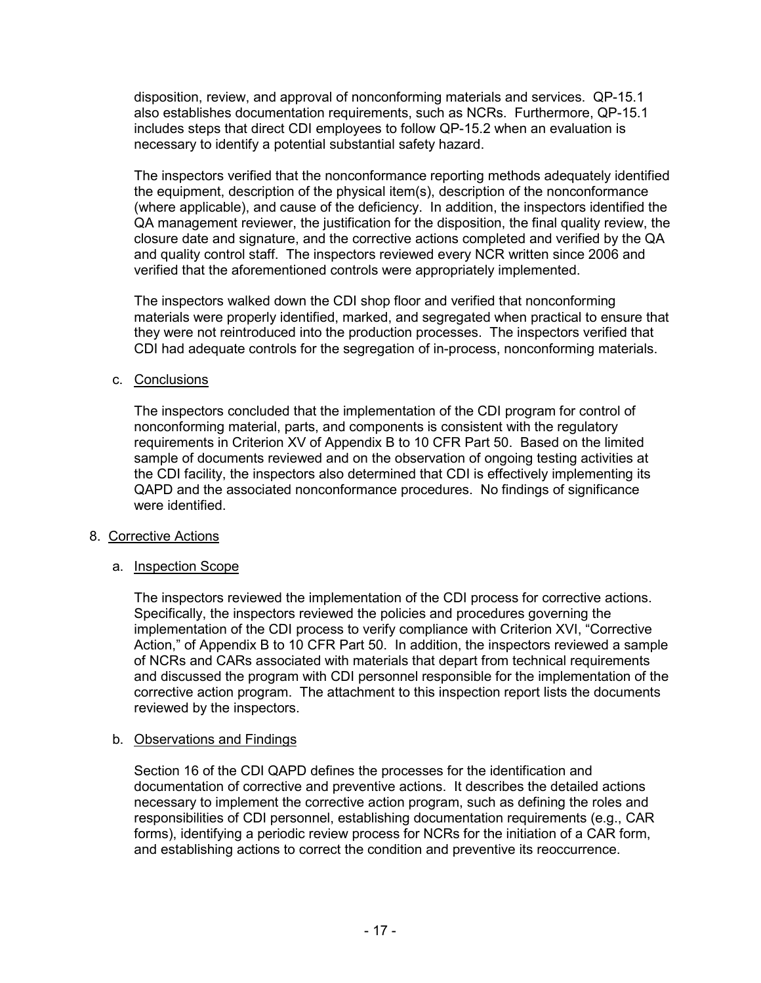disposition, review, and approval of nonconforming materials and services. QP-15.1 also establishes documentation requirements, such as NCRs. Furthermore, QP-15.1 includes steps that direct CDI employees to follow QP-15.2 when an evaluation is necessary to identify a potential substantial safety hazard.

The inspectors verified that the nonconformance reporting methods adequately identified the equipment, description of the physical item(s), description of the nonconformance (where applicable), and cause of the deficiency. In addition, the inspectors identified the QA management reviewer, the justification for the disposition, the final quality review, the closure date and signature, and the corrective actions completed and verified by the QA and quality control staff. The inspectors reviewed every NCR written since 2006 and verified that the aforementioned controls were appropriately implemented.

The inspectors walked down the CDI shop floor and verified that nonconforming materials were properly identified, marked, and segregated when practical to ensure that they were not reintroduced into the production processes. The inspectors verified that CDI had adequate controls for the segregation of in-process, nonconforming materials.

### c. Conclusions

The inspectors concluded that the implementation of the CDI program for control of nonconforming material, parts, and components is consistent with the regulatory requirements in Criterion XV of Appendix B to 10 CFR Part 50. Based on the limited sample of documents reviewed and on the observation of ongoing testing activities at the CDI facility, the inspectors also determined that CDI is effectively implementing its QAPD and the associated nonconformance procedures. No findings of significance were identified.

### 8. Corrective Actions

### a. Inspection Scope

The inspectors reviewed the implementation of the CDI process for corrective actions. Specifically, the inspectors reviewed the policies and procedures governing the implementation of the CDI process to verify compliance with Criterion XVI, "Corrective Action," of Appendix B to 10 CFR Part 50. In addition, the inspectors reviewed a sample of NCRs and CARs associated with materials that depart from technical requirements and discussed the program with CDI personnel responsible for the implementation of the corrective action program. The attachment to this inspection report lists the documents reviewed by the inspectors.

### b. Observations and Findings

Section 16 of the CDI QAPD defines the processes for the identification and documentation of corrective and preventive actions. It describes the detailed actions necessary to implement the corrective action program, such as defining the roles and responsibilities of CDI personnel, establishing documentation requirements (e.g., CAR forms), identifying a periodic review process for NCRs for the initiation of a CAR form, and establishing actions to correct the condition and preventive its reoccurrence.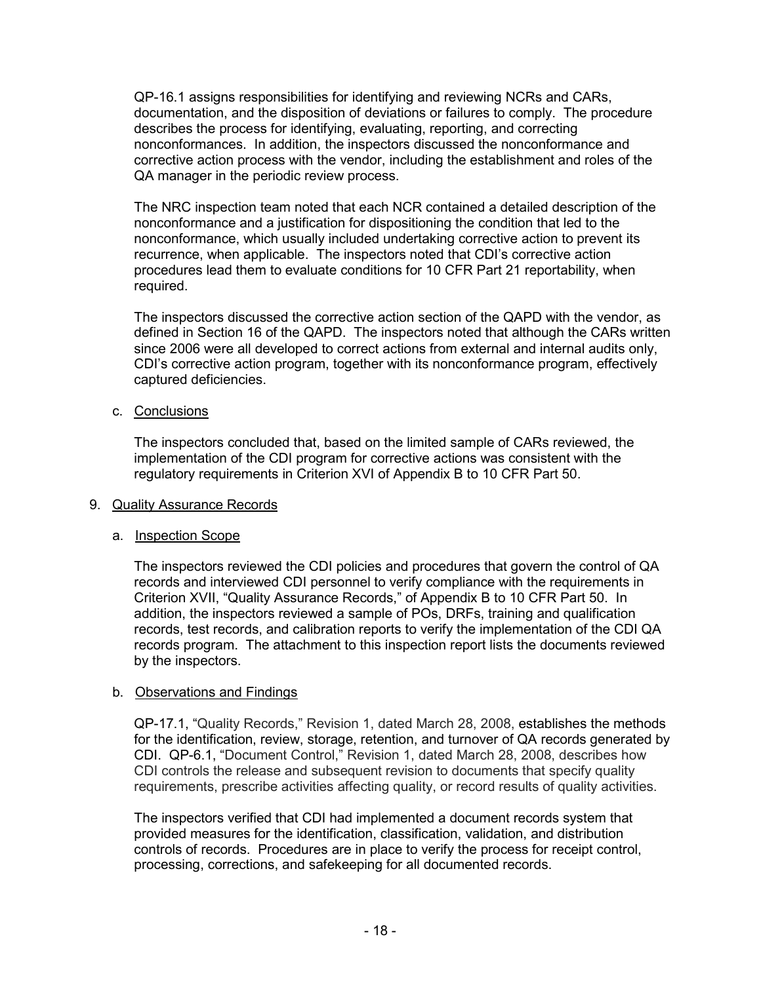QP-16.1 assigns responsibilities for identifying and reviewing NCRs and CARs, documentation, and the disposition of deviations or failures to comply. The procedure describes the process for identifying, evaluating, reporting, and correcting nonconformances. In addition, the inspectors discussed the nonconformance and corrective action process with the vendor, including the establishment and roles of the QA manager in the periodic review process.

The NRC inspection team noted that each NCR contained a detailed description of the nonconformance and a justification for dispositioning the condition that led to the nonconformance, which usually included undertaking corrective action to prevent its recurrence, when applicable. The inspectors noted that CDI's corrective action procedures lead them to evaluate conditions for 10 CFR Part 21 reportability, when required.

The inspectors discussed the corrective action section of the QAPD with the vendor, as defined in Section 16 of the QAPD. The inspectors noted that although the CARs written since 2006 were all developed to correct actions from external and internal audits only, CDI's corrective action program, together with its nonconformance program, effectively captured deficiencies.

c. Conclusions

The inspectors concluded that, based on the limited sample of CARs reviewed, the implementation of the CDI program for corrective actions was consistent with the regulatory requirements in Criterion XVI of Appendix B to 10 CFR Part 50.

### 9. Quality Assurance Records

# a. Inspection Scope

The inspectors reviewed the CDI policies and procedures that govern the control of QA records and interviewed CDI personnel to verify compliance with the requirements in Criterion XVII, "Quality Assurance Records," of Appendix B to 10 CFR Part 50. In addition, the inspectors reviewed a sample of POs, DRFs, training and qualification records, test records, and calibration reports to verify the implementation of the CDI QA records program. The attachment to this inspection report lists the documents reviewed by the inspectors.

# b. Observations and Findings

QP-17.1, "Quality Records," Revision 1, dated March 28, 2008, establishes the methods for the identification, review, storage, retention, and turnover of QA records generated by CDI. QP-6.1, "Document Control," Revision 1, dated March 28, 2008, describes how CDI controls the release and subsequent revision to documents that specify quality requirements, prescribe activities affecting quality, or record results of quality activities.

The inspectors verified that CDI had implemented a document records system that provided measures for the identification, classification, validation, and distribution controls of records. Procedures are in place to verify the process for receipt control, processing, corrections, and safekeeping for all documented records.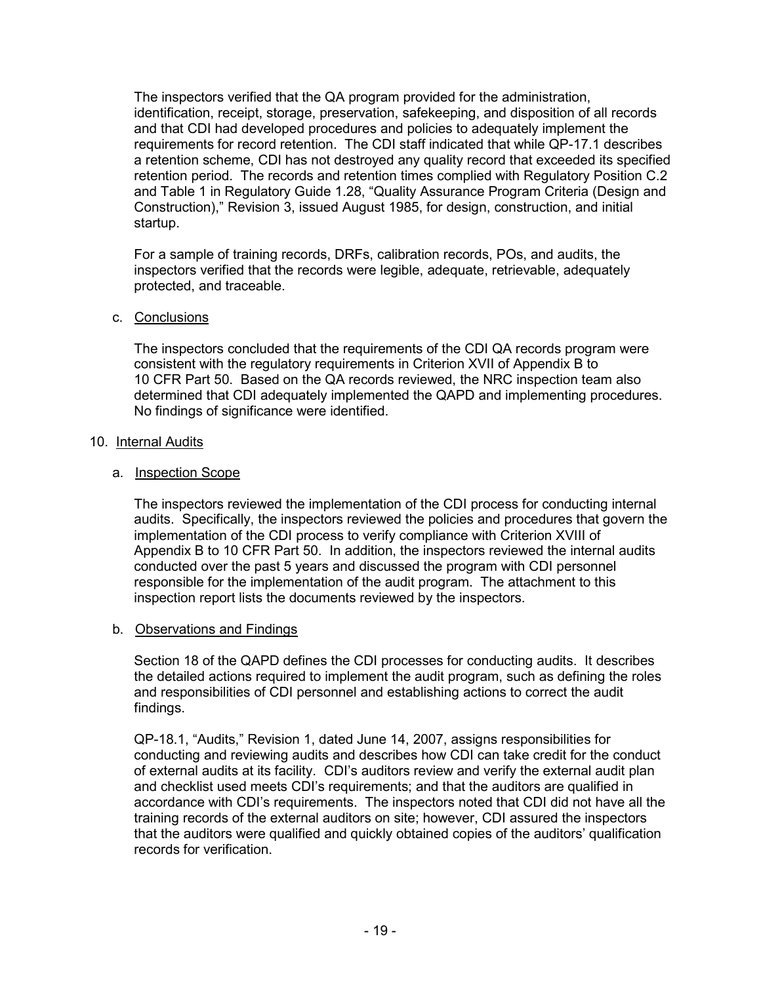The inspectors verified that the QA program provided for the administration, identification, receipt, storage, preservation, safekeeping, and disposition of all records and that CDI had developed procedures and policies to adequately implement the requirements for record retention. The CDI staff indicated that while QP-17.1 describes a retention scheme, CDI has not destroyed any quality record that exceeded its specified retention period. The records and retention times complied with Regulatory Position C.2 and Table 1 in Regulatory Guide 1.28, "Quality Assurance Program Criteria (Design and Construction)," Revision 3, issued August 1985, for design, construction, and initial startup.

For a sample of training records, DRFs, calibration records, POs, and audits, the inspectors verified that the records were legible, adequate, retrievable, adequately protected, and traceable.

### c. Conclusions

The inspectors concluded that the requirements of the CDI QA records program were consistent with the regulatory requirements in Criterion XVII of Appendix B to 10 CFR Part 50. Based on the QA records reviewed, the NRC inspection team also determined that CDI adequately implemented the QAPD and implementing procedures. No findings of significance were identified.

#### 10. Internal Audits

#### a. Inspection Scope

The inspectors reviewed the implementation of the CDI process for conducting internal audits. Specifically, the inspectors reviewed the policies and procedures that govern the implementation of the CDI process to verify compliance with Criterion XVIII of Appendix B to 10 CFR Part 50. In addition, the inspectors reviewed the internal audits conducted over the past 5 years and discussed the program with CDI personnel responsible for the implementation of the audit program. The attachment to this inspection report lists the documents reviewed by the inspectors.

### b. Observations and Findings

Section 18 of the QAPD defines the CDI processes for conducting audits. It describes the detailed actions required to implement the audit program, such as defining the roles and responsibilities of CDI personnel and establishing actions to correct the audit findings.

QP-18.1, "Audits," Revision 1, dated June 14, 2007, assigns responsibilities for conducting and reviewing audits and describes how CDI can take credit for the conduct of external audits at its facility. CDI's auditors review and verify the external audit plan and checklist used meets CDI's requirements; and that the auditors are qualified in accordance with CDI's requirements. The inspectors noted that CDI did not have all the training records of the external auditors on site; however, CDI assured the inspectors that the auditors were qualified and quickly obtained copies of the auditors' qualification records for verification.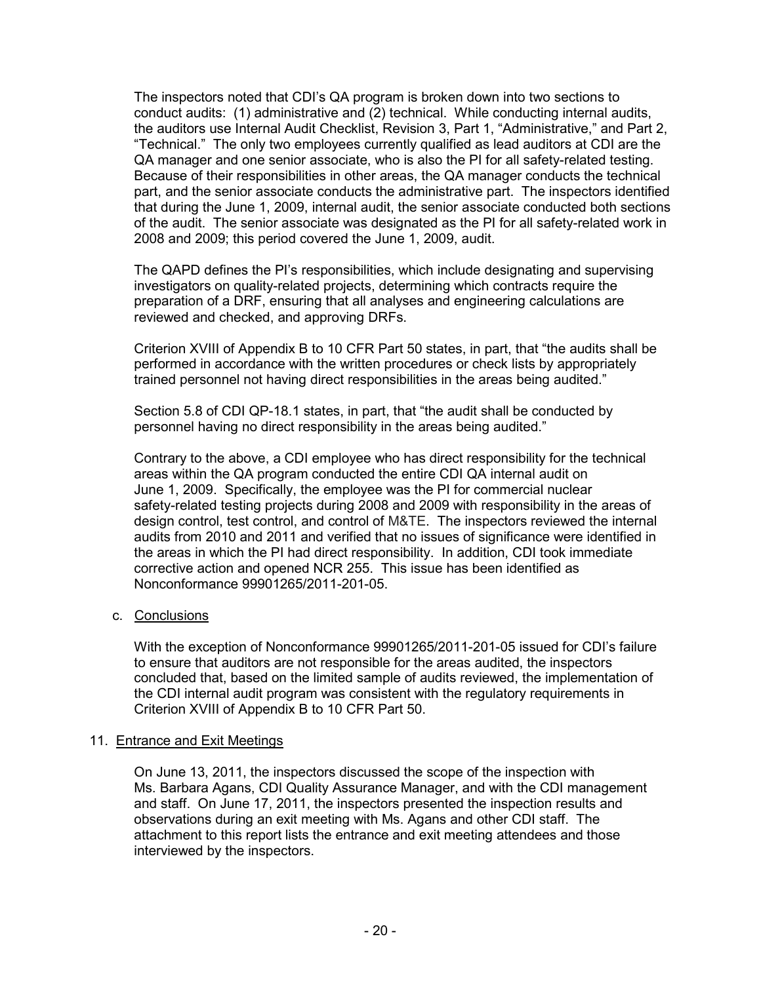The inspectors noted that CDI's QA program is broken down into two sections to conduct audits: (1) administrative and (2) technical. While conducting internal audits, the auditors use Internal Audit Checklist, Revision 3, Part 1, "Administrative," and Part 2, "Technical." The only two employees currently qualified as lead auditors at CDI are the QA manager and one senior associate, who is also the PI for all safety-related testing. Because of their responsibilities in other areas, the QA manager conducts the technical part, and the senior associate conducts the administrative part. The inspectors identified that during the June 1, 2009, internal audit, the senior associate conducted both sections of the audit. The senior associate was designated as the PI for all safety-related work in 2008 and 2009; this period covered the June 1, 2009, audit.

The QAPD defines the PI's responsibilities, which include designating and supervising investigators on quality-related projects, determining which contracts require the preparation of a DRF, ensuring that all analyses and engineering calculations are reviewed and checked, and approving DRFs.

Criterion XVIII of Appendix B to 10 CFR Part 50 states, in part, that "the audits shall be performed in accordance with the written procedures or check lists by appropriately trained personnel not having direct responsibilities in the areas being audited."

Section 5.8 of CDI QP-18.1 states, in part, that "the audit shall be conducted by personnel having no direct responsibility in the areas being audited."

Contrary to the above, a CDI employee who has direct responsibility for the technical areas within the QA program conducted the entire CDI QA internal audit on June 1, 2009. Specifically, the employee was the PI for commercial nuclear safety-related testing projects during 2008 and 2009 with responsibility in the areas of design control, test control, and control of M&TE. The inspectors reviewed the internal audits from 2010 and 2011 and verified that no issues of significance were identified in the areas in which the PI had direct responsibility. In addition, CDI took immediate corrective action and opened NCR 255. This issue has been identified as Nonconformance 99901265/2011-201-05.

c. Conclusions

With the exception of Nonconformance 99901265/2011-201-05 issued for CDI's failure to ensure that auditors are not responsible for the areas audited, the inspectors concluded that, based on the limited sample of audits reviewed, the implementation of the CDI internal audit program was consistent with the regulatory requirements in Criterion XVIII of Appendix B to 10 CFR Part 50.

### 11. Entrance and Exit Meetings

On June 13, 2011, the inspectors discussed the scope of the inspection with Ms. Barbara Agans, CDI Quality Assurance Manager, and with the CDI management and staff. On June 17, 2011, the inspectors presented the inspection results and observations during an exit meeting with Ms. Agans and other CDI staff. The attachment to this report lists the entrance and exit meeting attendees and those interviewed by the inspectors.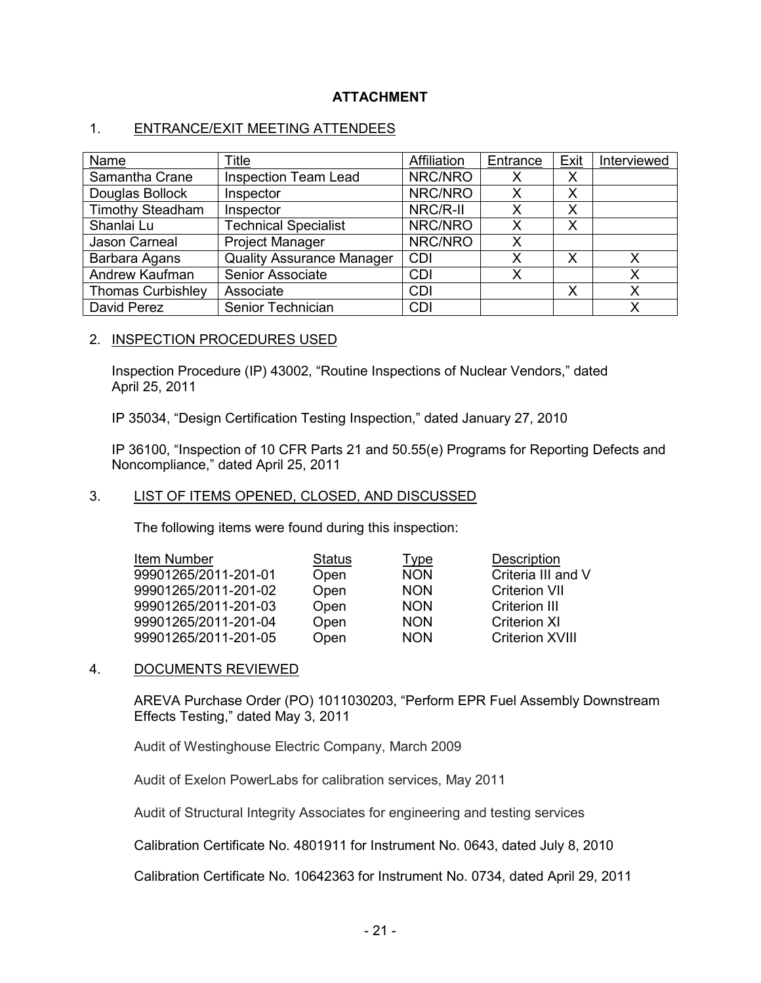## 1. ENTRANCE/EXIT MEETING ATTENDEES

| Name                     | Title                            | Affiliation | Entrance | Exit | Interviewed |
|--------------------------|----------------------------------|-------------|----------|------|-------------|
| Samantha Crane           | <b>Inspection Team Lead</b>      | NRC/NRO     |          |      |             |
| Douglas Bollock          | Inspector                        | NRC/NRO     | Х        | Χ    |             |
| <b>Timothy Steadham</b>  | Inspector                        | NRC/R-II    | Х        | Х    |             |
| Shanlai Lu               | <b>Technical Specialist</b>      | NRC/NRO     | Χ        | Χ    |             |
| Jason Carneal            | <b>Project Manager</b>           | NRC/NRO     | Χ        |      |             |
| Barbara Agans            | <b>Quality Assurance Manager</b> | CDI         | Х        | X    |             |
| Andrew Kaufman           | Senior Associate                 | <b>CDI</b>  | Х        |      |             |
| <b>Thomas Curbishley</b> | Associate                        | <b>CDI</b>  |          | Χ    |             |
| David Perez              | Senior Technician                | CDI         |          |      |             |

## 2. INSPECTION PROCEDURES USED

Inspection Procedure (IP) 43002, "Routine Inspections of Nuclear Vendors," dated April 25, 2011

IP 35034, "Design Certification Testing Inspection," dated January 27, 2010

IP 36100, "Inspection of 10 CFR Parts 21 and 50.55(e) Programs for Reporting Defects and Noncompliance," dated April 25, 2011

### 3. LIST OF ITEMS OPENED, CLOSED, AND DISCUSSED

The following items were found during this inspection:

| <b>Status</b> | Type       | <b>Description</b>     |
|---------------|------------|------------------------|
| Open          | <b>NON</b> | Criteria III and V     |
| Open          | <b>NON</b> | <b>Criterion VII</b>   |
| Open          | <b>NON</b> | Criterion III          |
| Open          | <b>NON</b> | <b>Criterion XI</b>    |
| Open          | <b>NON</b> | <b>Criterion XVIII</b> |
|               |            |                        |

### 4. DOCUMENTS REVIEWED

 AREVA Purchase Order (PO) 1011030203, "Perform EPR Fuel Assembly Downstream Effects Testing," dated May 3, 2011

Audit of Westinghouse Electric Company, March 2009

Audit of Exelon PowerLabs for calibration services, May 2011

Audit of Structural Integrity Associates for engineering and testing services

Calibration Certificate No. 4801911 for Instrument No. 0643, dated July 8, 2010

Calibration Certificate No. 10642363 for Instrument No. 0734, dated April 29, 2011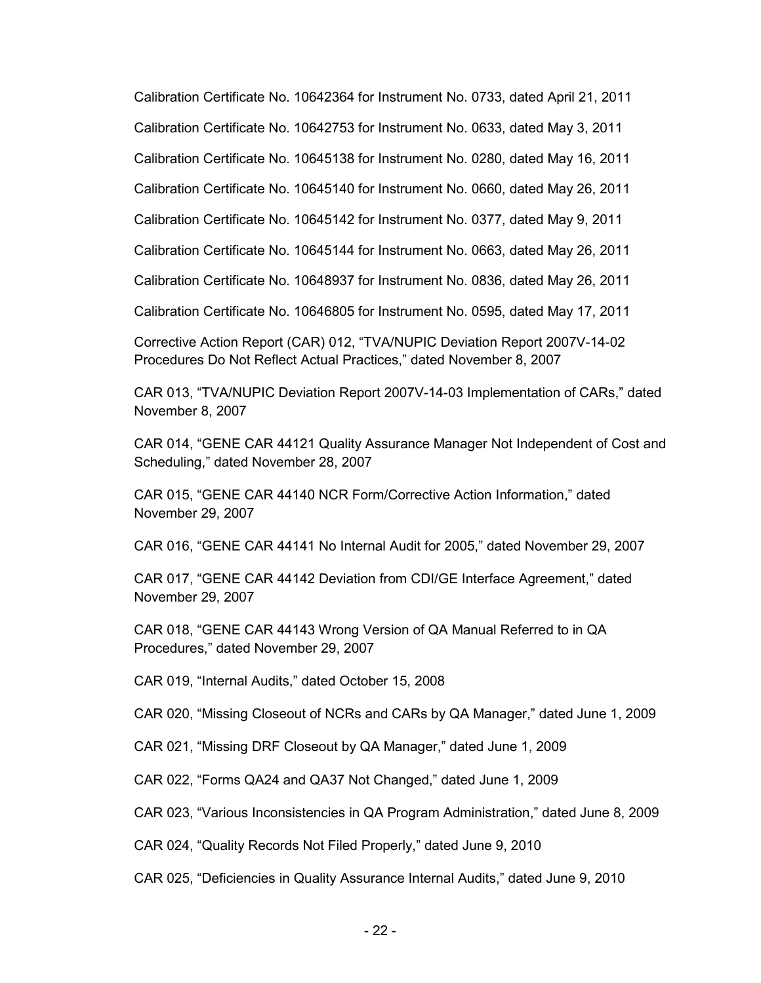Calibration Certificate No. 10642364 for Instrument No. 0733, dated April 21, 2011 Calibration Certificate No. 10642753 for Instrument No. 0633, dated May 3, 2011 Calibration Certificate No. 10645138 for Instrument No. 0280, dated May 16, 2011 Calibration Certificate No. 10645140 for Instrument No. 0660, dated May 26, 2011 Calibration Certificate No. 10645142 for Instrument No. 0377, dated May 9, 2011 Calibration Certificate No. 10645144 for Instrument No. 0663, dated May 26, 2011 Calibration Certificate No. 10648937 for Instrument No. 0836, dated May 26, 2011 Calibration Certificate No. 10646805 for Instrument No. 0595, dated May 17, 2011 Corrective Action Report (CAR) 012, "TVA/NUPIC Deviation Report 2007V-14-02 Procedures Do Not Reflect Actual Practices," dated November 8, 2007

CAR 013, "TVA/NUPIC Deviation Report 2007V-14-03 Implementation of CARs," dated November 8, 2007

CAR 014, "GENE CAR 44121 Quality Assurance Manager Not Independent of Cost and Scheduling," dated November 28, 2007

CAR 015, "GENE CAR 44140 NCR Form/Corrective Action Information," dated November 29, 2007

CAR 016, "GENE CAR 44141 No Internal Audit for 2005," dated November 29, 2007

CAR 017, "GENE CAR 44142 Deviation from CDI/GE Interface Agreement," dated November 29, 2007

CAR 018, "GENE CAR 44143 Wrong Version of QA Manual Referred to in QA Procedures," dated November 29, 2007

CAR 019, "Internal Audits," dated October 15, 2008

CAR 020, "Missing Closeout of NCRs and CARs by QA Manager," dated June 1, 2009

CAR 021, "Missing DRF Closeout by QA Manager," dated June 1, 2009

CAR 022, "Forms QA24 and QA37 Not Changed," dated June 1, 2009

CAR 023, "Various Inconsistencies in QA Program Administration," dated June 8, 2009

CAR 024, "Quality Records Not Filed Properly," dated June 9, 2010

CAR 025, "Deficiencies in Quality Assurance Internal Audits," dated June 9, 2010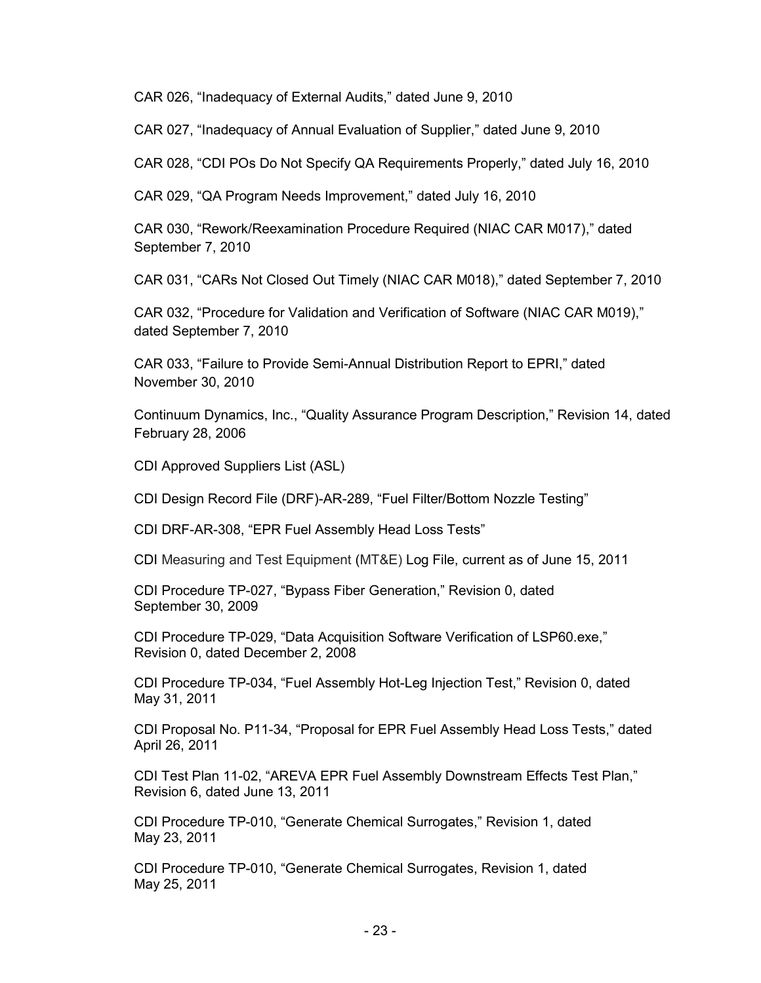CAR 026, "Inadequacy of External Audits," dated June 9, 2010

CAR 027, "Inadequacy of Annual Evaluation of Supplier," dated June 9, 2010

CAR 028, "CDI POs Do Not Specify QA Requirements Properly," dated July 16, 2010

CAR 029, "QA Program Needs Improvement," dated July 16, 2010

CAR 030, "Rework/Reexamination Procedure Required (NIAC CAR M017)," dated September 7, 2010

CAR 031, "CARs Not Closed Out Timely (NIAC CAR M018)," dated September 7, 2010

CAR 032, "Procedure for Validation and Verification of Software (NIAC CAR M019)," dated September 7, 2010

CAR 033, "Failure to Provide Semi-Annual Distribution Report to EPRI," dated November 30, 2010

Continuum Dynamics, Inc., "Quality Assurance Program Description," Revision 14, dated February 28, 2006

CDI Approved Suppliers List (ASL)

CDI Design Record File (DRF)-AR-289, "Fuel Filter/Bottom Nozzle Testing"

CDI DRF-AR-308, "EPR Fuel Assembly Head Loss Tests"

CDI Measuring and Test Equipment (MT&E) Log File, current as of June 15, 2011

CDI Procedure TP-027, "Bypass Fiber Generation," Revision 0, dated September 30, 2009

CDI Procedure TP-029, "Data Acquisition Software Verification of LSP60.exe," Revision 0, dated December 2, 2008

CDI Procedure TP-034, "Fuel Assembly Hot-Leg Injection Test," Revision 0, dated May 31, 2011

CDI Proposal No. P11-34, "Proposal for EPR Fuel Assembly Head Loss Tests," dated April 26, 2011

CDI Test Plan 11-02, "AREVA EPR Fuel Assembly Downstream Effects Test Plan," Revision 6, dated June 13, 2011

CDI Procedure TP-010, "Generate Chemical Surrogates," Revision 1, dated May 23, 2011

CDI Procedure TP-010, "Generate Chemical Surrogates, Revision 1, dated May 25, 2011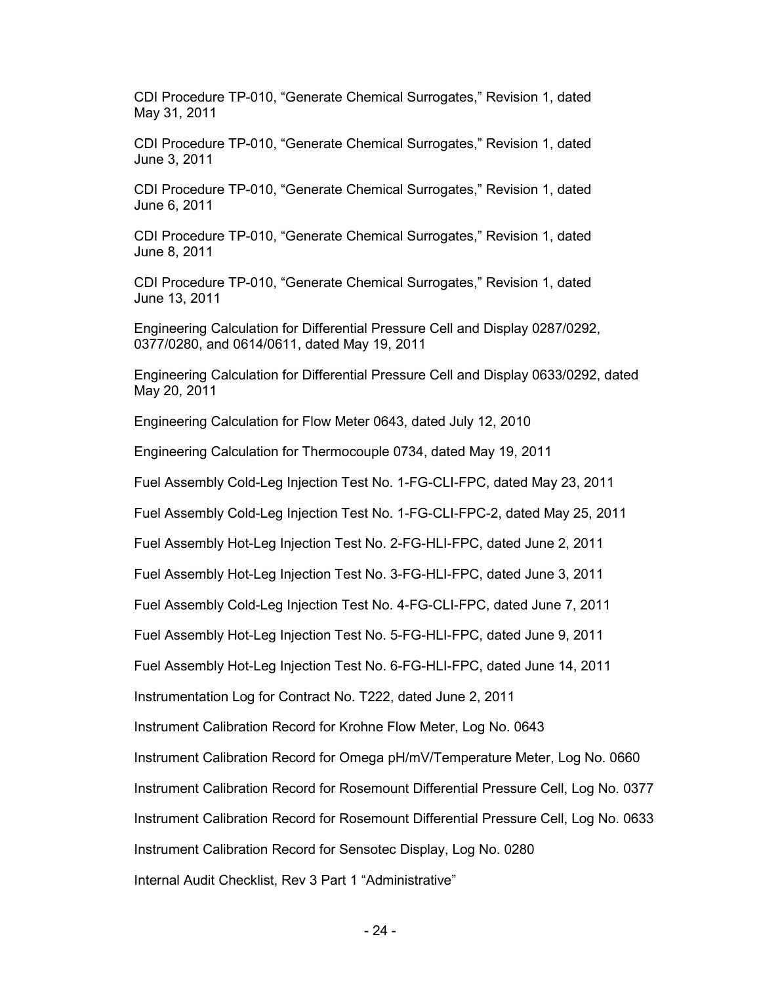CDI Procedure TP-010, "Generate Chemical Surrogates," Revision 1, dated May 31, 2011

CDI Procedure TP-010, "Generate Chemical Surrogates," Revision 1, dated June 3, 2011

CDI Procedure TP-010, "Generate Chemical Surrogates," Revision 1, dated June 6, 2011

CDI Procedure TP-010, "Generate Chemical Surrogates," Revision 1, dated June 8, 2011

CDI Procedure TP-010, "Generate Chemical Surrogates," Revision 1, dated June 13, 2011

Engineering Calculation for Differential Pressure Cell and Display 0287/0292, 0377/0280, and 0614/0611, dated May 19, 2011

Engineering Calculation for Differential Pressure Cell and Display 0633/0292, dated May 20, 2011

Engineering Calculation for Flow Meter 0643, dated July 12, 2010

Engineering Calculation for Thermocouple 0734, dated May 19, 2011

Fuel Assembly Cold-Leg Injection Test No. 1-FG-CLI-FPC, dated May 23, 2011

Fuel Assembly Cold-Leg Injection Test No. 1-FG-CLI-FPC-2, dated May 25, 2011

Fuel Assembly Hot-Leg Injection Test No. 2-FG-HLI-FPC, dated June 2, 2011

Fuel Assembly Hot-Leg Injection Test No. 3-FG-HLI-FPC, dated June 3, 2011

Fuel Assembly Cold-Leg Injection Test No. 4-FG-CLI-FPC, dated June 7, 2011

Fuel Assembly Hot-Leg Injection Test No. 5-FG-HLI-FPC, dated June 9, 2011

Fuel Assembly Hot-Leg Injection Test No. 6-FG-HLI-FPC, dated June 14, 2011

Instrumentation Log for Contract No. T222, dated June 2, 2011

Instrument Calibration Record for Krohne Flow Meter, Log No. 0643

Instrument Calibration Record for Omega pH/mV/Temperature Meter, Log No. 0660

Instrument Calibration Record for Rosemount Differential Pressure Cell, Log No. 0377

Instrument Calibration Record for Rosemount Differential Pressure Cell, Log No. 0633

Instrument Calibration Record for Sensotec Display, Log No. 0280

Internal Audit Checklist, Rev 3 Part 1 "Administrative"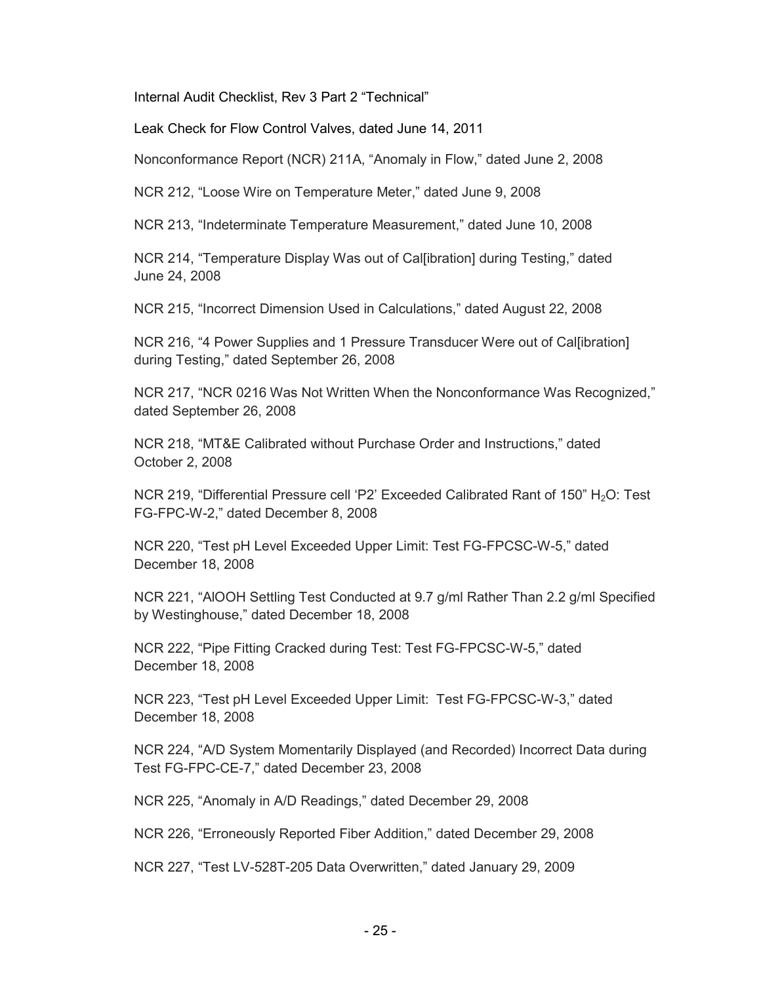Internal Audit Checklist, Rev 3 Part 2 "Technical"

Leak Check for Flow Control Valves, dated June 14, 2011

Nonconformance Report (NCR) 211A, "Anomaly in Flow," dated June 2, 2008

NCR 212, "Loose Wire on Temperature Meter," dated June 9, 2008

NCR 213, "Indeterminate Temperature Measurement," dated June 10, 2008

NCR 214, "Temperature Display Was out of Cal[ibration] during Testing," dated June 24, 2008

NCR 215, "Incorrect Dimension Used in Calculations," dated August 22, 2008

NCR 216, "4 Power Supplies and 1 Pressure Transducer Were out of Cal[ibration] during Testing," dated September 26, 2008

NCR 217, "NCR 0216 Was Not Written When the Nonconformance Was Recognized," dated September 26, 2008

NCR 218, "MT&E Calibrated without Purchase Order and Instructions," dated October 2, 2008

NCR 219, "Differential Pressure cell 'P2' Exceeded Calibrated Rant of 150"  $H<sub>2</sub>O$ : Test FG-FPC-W-2," dated December 8, 2008

NCR 220, "Test pH Level Exceeded Upper Limit: Test FG-FPCSC-W-5," dated December 18, 2008

NCR 221, "AlOOH Settling Test Conducted at 9.7 g/ml Rather Than 2.2 g/ml Specified by Westinghouse," dated December 18, 2008

NCR 222, "Pipe Fitting Cracked during Test: Test FG-FPCSC-W-5," dated December 18, 2008

NCR 223, "Test pH Level Exceeded Upper Limit: Test FG-FPCSC-W-3," dated December 18, 2008

NCR 224, "A/D System Momentarily Displayed (and Recorded) Incorrect Data during Test FG-FPC-CE-7," dated December 23, 2008

NCR 225, "Anomaly in A/D Readings," dated December 29, 2008

NCR 226, "Erroneously Reported Fiber Addition," dated December 29, 2008

NCR 227, "Test LV-528T-205 Data Overwritten," dated January 29, 2009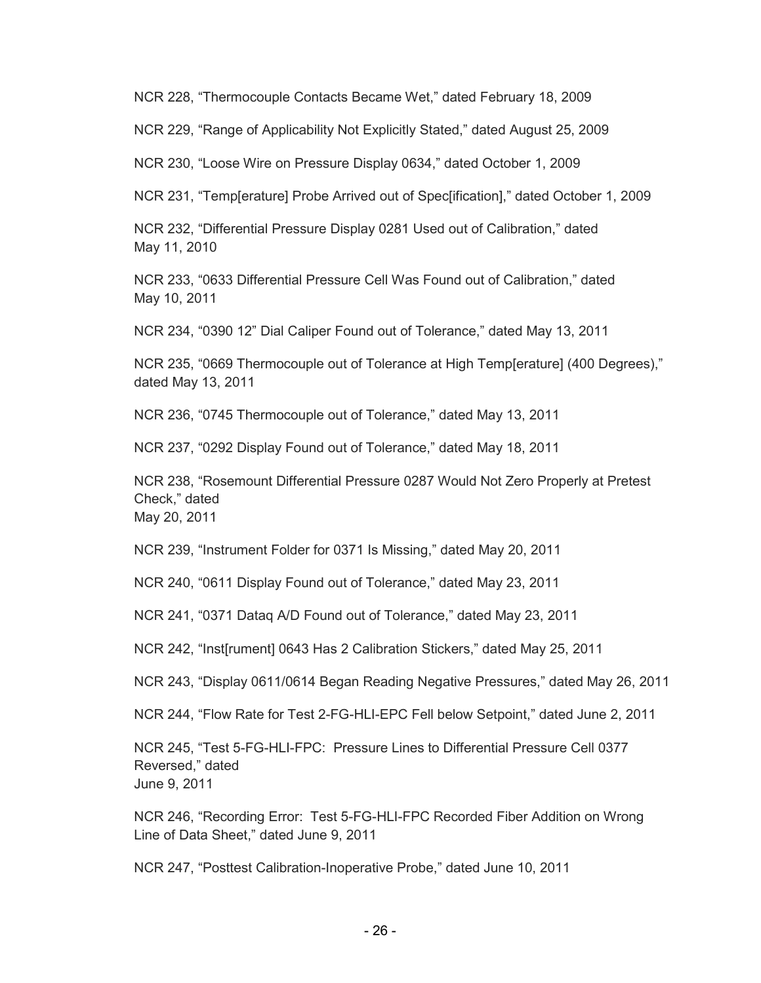NCR 228, "Thermocouple Contacts Became Wet," dated February 18, 2009

NCR 229, "Range of Applicability Not Explicitly Stated," dated August 25, 2009

NCR 230, "Loose Wire on Pressure Display 0634," dated October 1, 2009

NCR 231, "Temp[erature] Probe Arrived out of Spec[ification]," dated October 1, 2009

NCR 232, "Differential Pressure Display 0281 Used out of Calibration," dated May 11, 2010

NCR 233, "0633 Differential Pressure Cell Was Found out of Calibration," dated May 10, 2011

NCR 234, "0390 12" Dial Caliper Found out of Tolerance," dated May 13, 2011

NCR 235, "0669 Thermocouple out of Tolerance at High Temp[erature] (400 Degrees)," dated May 13, 2011

NCR 236, "0745 Thermocouple out of Tolerance," dated May 13, 2011

NCR 237, "0292 Display Found out of Tolerance," dated May 18, 2011

NCR 238, "Rosemount Differential Pressure 0287 Would Not Zero Properly at Pretest Check," dated May 20, 2011

NCR 239, "Instrument Folder for 0371 Is Missing," dated May 20, 2011

NCR 240, "0611 Display Found out of Tolerance," dated May 23, 2011

NCR 241, "0371 Dataq A/D Found out of Tolerance," dated May 23, 2011

NCR 242, "Inst[rument] 0643 Has 2 Calibration Stickers," dated May 25, 2011

NCR 243, "Display 0611/0614 Began Reading Negative Pressures," dated May 26, 2011

NCR 244, "Flow Rate for Test 2-FG-HLI-EPC Fell below Setpoint," dated June 2, 2011

NCR 245, "Test 5-FG-HLI-FPC: Pressure Lines to Differential Pressure Cell 0377 Reversed," dated June 9, 2011

NCR 246, "Recording Error: Test 5-FG-HLI-FPC Recorded Fiber Addition on Wrong Line of Data Sheet," dated June 9, 2011

NCR 247, "Posttest Calibration-Inoperative Probe," dated June 10, 2011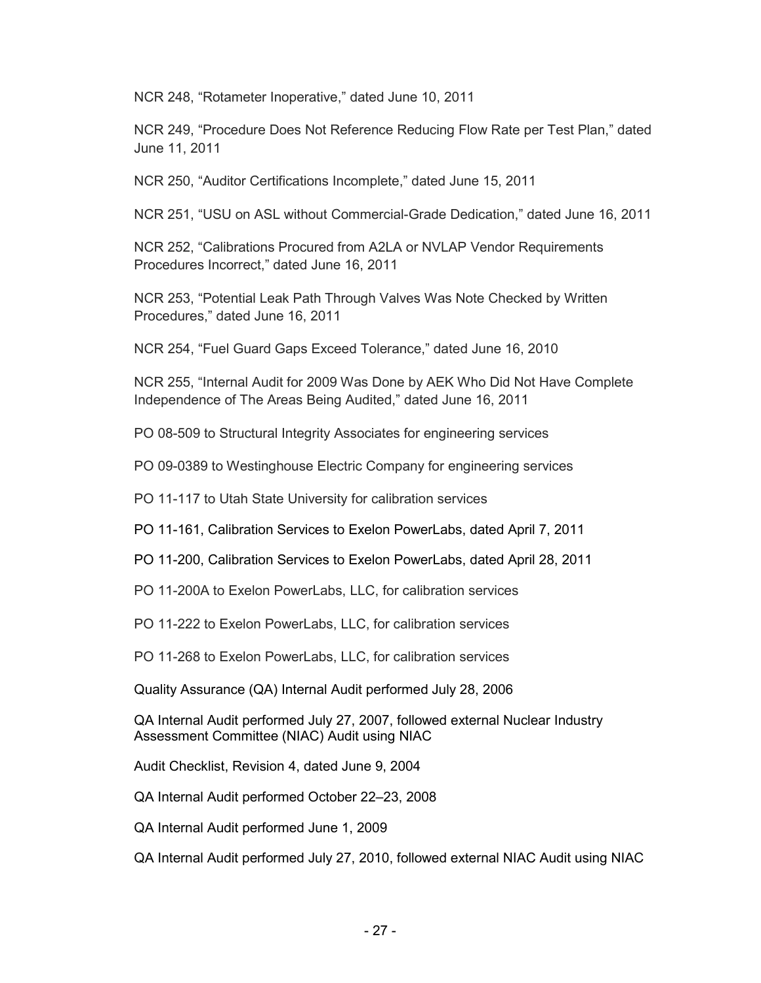NCR 248, "Rotameter Inoperative," dated June 10, 2011

NCR 249, "Procedure Does Not Reference Reducing Flow Rate per Test Plan," dated June 11, 2011

NCR 250, "Auditor Certifications Incomplete," dated June 15, 2011

NCR 251, "USU on ASL without Commercial-Grade Dedication," dated June 16, 2011

NCR 252, "Calibrations Procured from A2LA or NVLAP Vendor Requirements Procedures Incorrect," dated June 16, 2011

NCR 253, "Potential Leak Path Through Valves Was Note Checked by Written Procedures," dated June 16, 2011

NCR 254, "Fuel Guard Gaps Exceed Tolerance," dated June 16, 2010

NCR 255, "Internal Audit for 2009 Was Done by AEK Who Did Not Have Complete Independence of The Areas Being Audited," dated June 16, 2011

PO 08-509 to Structural Integrity Associates for engineering services

PO 09-0389 to Westinghouse Electric Company for engineering services

PO 11-117 to Utah State University for calibration services

PO 11-161, Calibration Services to Exelon PowerLabs, dated April 7, 2011

PO 11-200, Calibration Services to Exelon PowerLabs, dated April 28, 2011

PO 11-200A to Exelon PowerLabs, LLC, for calibration services

PO 11-222 to Exelon PowerLabs, LLC, for calibration services

PO 11-268 to Exelon PowerLabs, LLC, for calibration services

Quality Assurance (QA) Internal Audit performed July 28, 2006

QA Internal Audit performed July 27, 2007, followed external Nuclear Industry Assessment Committee (NIAC) Audit using NIAC

Audit Checklist, Revision 4, dated June 9, 2004

QA Internal Audit performed October 22–23, 2008

QA Internal Audit performed June 1, 2009

QA Internal Audit performed July 27, 2010, followed external NIAC Audit using NIAC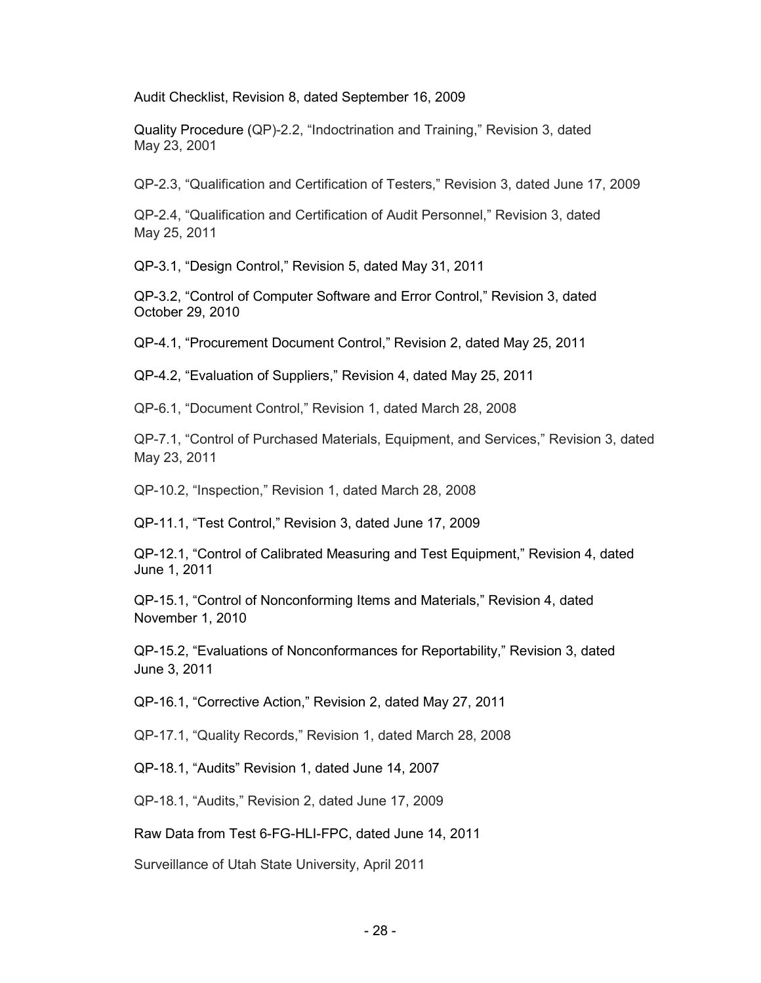Audit Checklist, Revision 8, dated September 16, 2009

Quality Procedure (QP)-2.2, "Indoctrination and Training," Revision 3, dated May 23, 2001

QP-2.3, "Qualification and Certification of Testers," Revision 3, dated June 17, 2009

QP-2.4, "Qualification and Certification of Audit Personnel," Revision 3, dated May 25, 2011

QP-3.1, "Design Control," Revision 5, dated May 31, 2011

QP-3.2, "Control of Computer Software and Error Control," Revision 3, dated October 29, 2010

QP-4.1, "Procurement Document Control," Revision 2, dated May 25, 2011

QP-4.2, "Evaluation of Suppliers," Revision 4, dated May 25, 2011

QP-6.1, "Document Control," Revision 1, dated March 28, 2008

QP-7.1, "Control of Purchased Materials, Equipment, and Services," Revision 3, dated May 23, 2011

QP-10.2, "Inspection," Revision 1, dated March 28, 2008

QP-11.1, "Test Control," Revision 3, dated June 17, 2009

QP-12.1, "Control of Calibrated Measuring and Test Equipment," Revision 4, dated June 1, 2011

QP-15.1, "Control of Nonconforming Items and Materials," Revision 4, dated November 1, 2010

QP-15.2, "Evaluations of Nonconformances for Reportability," Revision 3, dated June 3, 2011

QP-16.1, "Corrective Action," Revision 2, dated May 27, 2011

QP-17.1, "Quality Records," Revision 1, dated March 28, 2008

QP-18.1, "Audits" Revision 1, dated June 14, 2007

QP-18.1, "Audits," Revision 2, dated June 17, 2009

Raw Data from Test 6-FG-HLI-FPC, dated June 14, 2011

Surveillance of Utah State University, April 2011